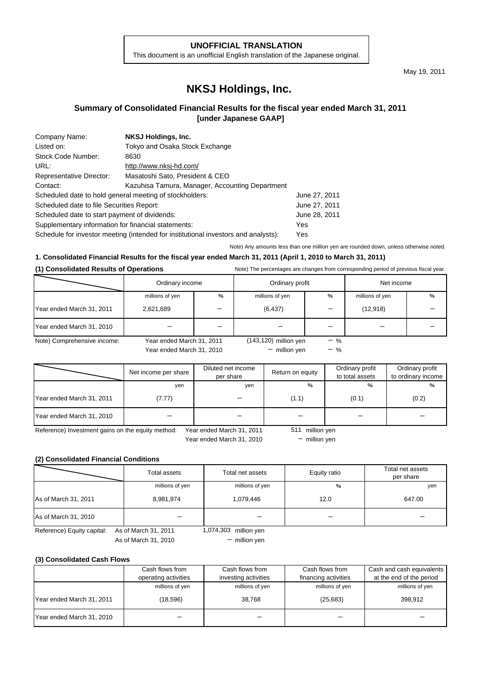## **UNOFFICIAL TRANSLATION**

This document is an unofficial English translation of the Japanese original.

May 19, 2011

# **NKSJ Holdings, Inc.**

## **Summary of Consolidated Financial Results for the fiscal year ended March 31, 2011 [under Japanese GAAP]**

| Company Name:                                           | <b>NKSJ Holdings, Inc.</b>                                                         |               |
|---------------------------------------------------------|------------------------------------------------------------------------------------|---------------|
| Listed on:                                              | Tokyo and Osaka Stock Exchange                                                     |               |
| Stock Code Number:                                      | 8630                                                                               |               |
| URL:                                                    | http://www.nksj-hd.com/                                                            |               |
| Representative Director:                                | Masatoshi Sato, President & CEO                                                    |               |
| Contact:                                                | Kazuhisa Tamura, Manager, Accounting Department                                    |               |
| Scheduled date to hold general meeting of stockholders: |                                                                                    | June 27, 2011 |
| Scheduled date to file Securities Report:               |                                                                                    | June 27, 2011 |
| Scheduled date to start payment of dividends:           |                                                                                    | June 28, 2011 |
| Supplementary information for financial statements:     |                                                                                    | Yes           |
|                                                         | Schedule for investor meeting (intended for institutional investors and analysts): | Yes           |

Note) Any amounts less than one million yen are rounded down, unless otherwise noted.

#### **1. Consolidated Financial Results for the fiscal year ended March 31, 2011 (April 1, 2010 to March 31, 2011)**

#### **(1) Consolidated Results of Operations** Note) The percentages are changes from corresponding period of previous fiscal year.

|                             | Ordinary income           |   | Ordinary profit          |       | Net income      |   |
|-----------------------------|---------------------------|---|--------------------------|-------|-----------------|---|
|                             | millions of yen           | % | millions of yen          | %     | millions of yen | % |
| Year ended March 31, 2011   | 2,621,689                 |   | (6, 437)                 |       | (12, 918)       |   |
| Year ended March 31, 2010   |                           |   |                          |       |                 |   |
| Note) Comprehensive income: | Year ended March 31, 2011 |   | $(143, 120)$ million yen | $-$ % |                 |   |

Year ended March 31, 2010

- million yen

 $-$  %

|                                                   | Net income per share | Diluted net income<br>per share | Return on equity | Ordinary profit<br>to total assets | Ordinary profit<br>to ordinary income |
|---------------------------------------------------|----------------------|---------------------------------|------------------|------------------------------------|---------------------------------------|
|                                                   | yen                  | yen                             | %                | $\frac{9}{6}$                      | %                                     |
| Year ended March 31, 2011                         | (7.77)               |                                 | (1.1)            | (0.1)                              | (0.2)                                 |
| Year ended March 31, 2010                         |                      |                                 |                  |                                    |                                       |
| Reference) Investment gains on the equity method: |                      | Year ended March 31, 2011       | million ven      |                                    |                                       |

Year ended March 31, 2010

 $-$  million yen

## **(2) Consolidated Financial Conditions**

|                            | Total assets         | Total net assets      | Equity ratio | Total net assets<br>per share |
|----------------------------|----------------------|-----------------------|--------------|-------------------------------|
|                            | millions of yen      | millions of yen       | %            | yen                           |
| As of March 31, 2011       | 8,981,974            | 1,079,446             | 12.0         | 647.00                        |
| As of March 31, 2010       |                      |                       |              |                               |
| Reference) Equity capital: | As of March 31, 2011 | 1,074,303 million yen |              |                               |
|                            | As of March 31, 2010 | $-$ million yen       |              |                               |

**(3) Consolidated Cash Flows**

|                           | Cash flows from<br>operating activities | Cash flows from<br>investing activities | Cash flows from<br>financing activities | Cash and cash equivalents<br>at the end of the period |
|---------------------------|-----------------------------------------|-----------------------------------------|-----------------------------------------|-------------------------------------------------------|
|                           | millions of yen                         | millions of yen                         | millions of yen                         | millions of yen                                       |
| Year ended March 31, 2011 | (18, 596)                               | 38,768                                  | (25,683)                                | 398.912                                               |
| Year ended March 31, 2010 |                                         |                                         |                                         |                                                       |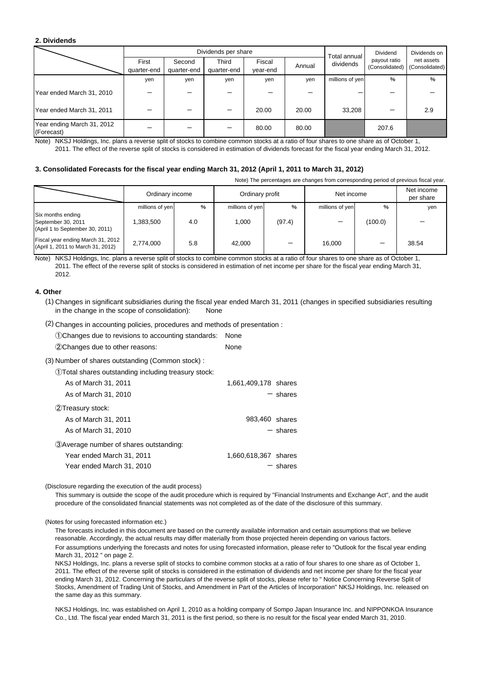#### **2. Dividends**

|                                          |                      |                       | Dividends per share  | Total annual       | Dividend | Dividends on    |                                |                              |
|------------------------------------------|----------------------|-----------------------|----------------------|--------------------|----------|-----------------|--------------------------------|------------------------------|
|                                          | First<br>quarter-end | Second<br>quarter-end | Third<br>quarter-end | Fiscal<br>year-end | Annual   | dividends       | payout ratio<br>(Consolidated) | net assets<br>(Consolidated) |
|                                          | ven                  | yen                   | yen                  | yen                | yen      | millions of yen | $\%$                           | %                            |
| Year ended March 31, 2010                |                      |                       |                      |                    |          |                 |                                |                              |
| Year ended March 31, 2011                |                      |                       |                      | 20.00              | 20.00    | 33,208          |                                | 2.9                          |
| Year ending March 31, 2012<br>(Forecast) |                      |                       |                      | 80.00              | 80.00    |                 | 207.6                          |                              |

Note) NKSJ Holdings, Inc. plans a reverse split of stocks to combine common stocks at a ratio of four shares to one share as of October 1, 2011. The effect of the reverse split of stocks is considered in estimation of dividends forecast for the fiscal year ending March 31, 2012.

#### **3. Consolidated Forecasts for the fiscal year ending March 31, 2012 (April 1, 2011 to March 31, 2012)**

Note) The percentages are changes from corresponding period of previous fiscal year.

|                                                                            | Ordinary income |     | Ordinary profit |                          | Net income      |         | Net income<br>per share |
|----------------------------------------------------------------------------|-----------------|-----|-----------------|--------------------------|-----------------|---------|-------------------------|
|                                                                            | millions of yen | %   | millions of yen | %                        | millions of yen | %       | yen                     |
| Six months ending<br>September 30, 2011<br>(April 1 to September 30, 2011) | .383.500        | 4.0 | 1.000           | (97.4)                   |                 | (100.0) |                         |
| Fiscal year ending March 31, 2012<br>(April 1, 2011 to March 31, 2012)     | 2,774,000       | 5.8 | 42.000          | $\overline{\phantom{0}}$ | 16.000          |         | 38.54                   |

Note) NKSJ Holdings, Inc. plans a reverse split of stocks to combine common stocks at a ratio of four shares to one share as of October 1, 2011. The effect of the reverse split of stocks is considered in estimation of net income per share for the fiscal year ending March 31, 2012.

#### **4. Other**

(1) Changes in significant subsidiaries during the fiscal year ended March 31, 2011 (changes in specified subsidiaries resulting in the change in the scope of consolidation): None

(2) Changes in accounting policies, procedures and methods of presentation :

| 1) Changes due to revisions to accounting standards:<br>2 Changes due to other reasons:                    | None<br>None         |
|------------------------------------------------------------------------------------------------------------|----------------------|
| (3) Number of shares outstanding (Common stock) :<br>1) Total shares outstanding including treasury stock: |                      |
| As of March 31, 2011                                                                                       | 1,661,409,178 shares |
| As of March 31, 2010                                                                                       | - shares             |
| (2) Treasury stock:                                                                                        |                      |
| As of March 31, 2011                                                                                       | 983,460 shares       |
| As of March 31, 2010                                                                                       | $-$ shares           |
| 3) Average number of shares outstanding:                                                                   |                      |
| Year ended March 31, 2011                                                                                  | 1,660,618,367 shares |
| Year ended March 31, 2010                                                                                  | $-$ shares           |

#### (Disclosure regarding the execution of the audit process)

This summary is outside the scope of the audit procedure which is required by "Financial Instruments and Exchange Act", and the audit procedure of the consolidated financial statements was not completed as of the date of the disclosure of this summary.

#### (Notes for using forecasted information etc.)

For assumptions underlying the forecasts and notes for using forecasted information, please refer to "Outlook for the fiscal year ending March 31, 2012 " on page 2. The forecasts included in this document are based on the currently available information and certain assumptions that we believe reasonable. Accordingly, the actual results may differ materially from those projected herein depending on various factors.

NKSJ Holdings, Inc. plans a reverse split of stocks to combine common stocks at a ratio of four shares to one share as of October 1, 2011. The effect of the reverse split of stocks is considered in the estimation of dividends and net income per share for the fiscal year ending March 31, 2012. Concerning the particulars of the reverse split of stocks, please refer to " Notice Concerning Reverse Split of Stocks, Amendment of Trading Unit of Stocks, and Amendment in Part of the Articles of Incorporation" NKSJ Holdings, Inc. released on the same day as this summary.

NKSJ Holdings, Inc. was established on April 1, 2010 as a holding company of Sompo Japan Insurance Inc. and NIPPONKOA Insurance Co., Ltd. The fiscal year ended March 31, 2011 is the first period, so there is no result for the fiscal year ended March 31, 2010.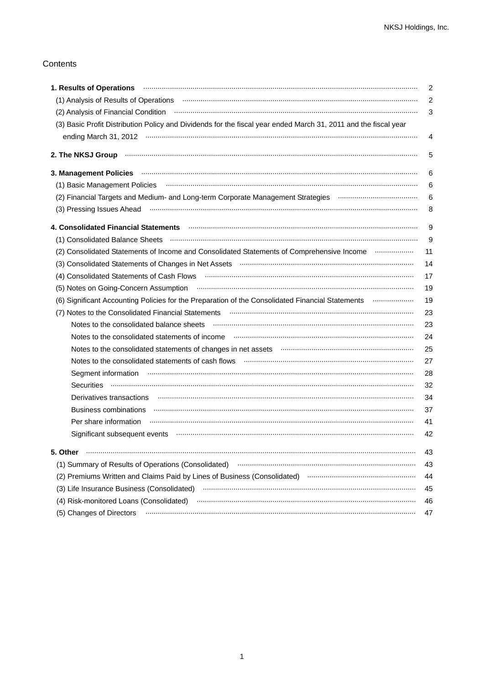## Contents

| 1. Results of Operations www.communication.communication.com/www.communication.com/www.communication                                                                                                                           | $\overline{2}$ |
|--------------------------------------------------------------------------------------------------------------------------------------------------------------------------------------------------------------------------------|----------------|
|                                                                                                                                                                                                                                | $\overline{2}$ |
|                                                                                                                                                                                                                                | 3              |
| (3) Basic Profit Distribution Policy and Dividends for the fiscal year ended March 31, 2011 and the fiscal year                                                                                                                |                |
|                                                                                                                                                                                                                                | 4              |
|                                                                                                                                                                                                                                | 5              |
|                                                                                                                                                                                                                                | 6              |
| (1) Basic Management Policies (and accordinational continuum and according to the distribution of the contract of the contract of the contract of the contract of the contract of the contract of the contract of the contract | 6              |
|                                                                                                                                                                                                                                | 6              |
| (3) Pressing Issues Ahead municipality and the control of the state of the state of the state of the state of the state of the state of the state of the state of the state of the state of the state of the state of the stat | 8              |
| 4. Consolidated Financial Statements <b>Material Constructs (2018)</b> 4. Consolidated Financial Statements <b>Material Consolidated</b> Financial Statements                                                                  | 9              |
|                                                                                                                                                                                                                                | 9              |
| (2) Consolidated Statements of Income and Consolidated Statements of Comprehensive Income                                                                                                                                      | 11             |
|                                                                                                                                                                                                                                | 14             |
|                                                                                                                                                                                                                                | 17             |
| (5) Notes on Going-Concern Assumption <b>contract to the Concern Contract of Concern Concern Concern Concern</b>                                                                                                               | 19             |
| (6) Significant Accounting Policies for the Preparation of the Consolidated Financial Statements mummum                                                                                                                        | 19             |
| (7) Notes to the Consolidated Financial Statements (2008) and the content of the Consolidated Financial Statements (3) and the consolidated Financial Statements (3) and the consolidated Financial Statements (3) and the con | 23             |
| Notes to the consolidated balance sheets manufactured construction and construction of the consolidated balance sheets                                                                                                         | 23             |
|                                                                                                                                                                                                                                | 24             |
| Notes to the consolidated statements of changes in net assets manufactured consumer an annumerator of                                                                                                                          | 25             |
|                                                                                                                                                                                                                                | 27             |
| Segment information www.communication.com/news/communications/communications/communications/communications/communications/communications/communications/communications/communications/communications/communications/communicat | 28             |
|                                                                                                                                                                                                                                | 32             |
|                                                                                                                                                                                                                                | 34             |
| Business combinations www.communication.com/musical/musical/musical/musical/musical/musical/musical/musical/mu                                                                                                                 | 37             |
|                                                                                                                                                                                                                                | 41             |
| Significant subsequent events www.communicalisation.communications.communications.com                                                                                                                                          | 42             |
| 5. Other                                                                                                                                                                                                                       | 43             |
|                                                                                                                                                                                                                                | 43             |
| (2) Premiums Written and Claims Paid by Lines of Business (Consolidated) manufactured and claim and Claims Paid by Lines of Business (Consolidated)                                                                            | 44             |
|                                                                                                                                                                                                                                | 45             |
|                                                                                                                                                                                                                                | 46             |
| (5) Changes of Directors                                                                                                                                                                                                       | 47             |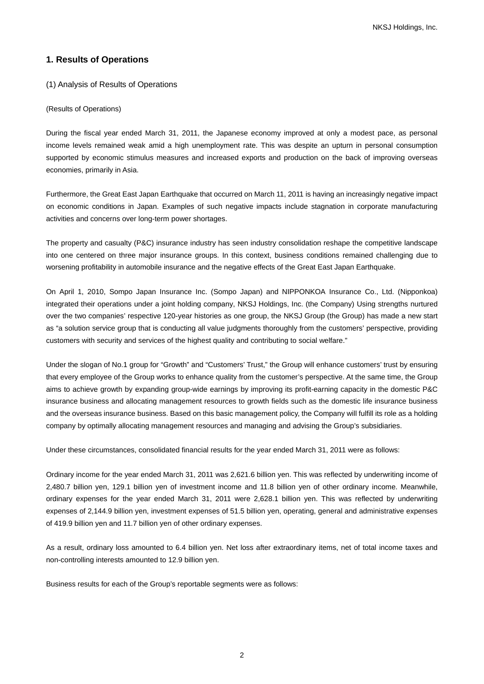## **1. Results of Operations**

(1) Analysis of Results of Operations

#### (Results of Operations)

During the fiscal year ended March 31, 2011, the Japanese economy improved at only a modest pace, as personal income levels remained weak amid a high unemployment rate. This was despite an upturn in personal consumption supported by economic stimulus measures and increased exports and production on the back of improving overseas economies, primarily in Asia.

Furthermore, the Great East Japan Earthquake that occurred on March 11, 2011 is having an increasingly negative impact on economic conditions in Japan. Examples of such negative impacts include stagnation in corporate manufacturing activities and concerns over long-term power shortages.

The property and casualty (P&C) insurance industry has seen industry consolidation reshape the competitive landscape into one centered on three major insurance groups. In this context, business conditions remained challenging due to worsening profitability in automobile insurance and the negative effects of the Great East Japan Earthquake.

On April 1, 2010, Sompo Japan Insurance Inc. (Sompo Japan) and NIPPONKOA Insurance Co., Ltd. (Nipponkoa) integrated their operations under a joint holding company, NKSJ Holdings, Inc. (the Company) Using strengths nurtured over the two companies' respective 120-year histories as one group, the NKSJ Group (the Group) has made a new start as "a solution service group that is conducting all value judgments thoroughly from the customers' perspective, providing customers with security and services of the highest quality and contributing to social welfare."

Under the slogan of No.1 group for "Growth" and "Customers' Trust," the Group will enhance customers' trust by ensuring that every employee of the Group works to enhance quality from the customer's perspective. At the same time, the Group aims to achieve growth by expanding group-wide earnings by improving its profit-earning capacity in the domestic P&C insurance business and allocating management resources to growth fields such as the domestic life insurance business and the overseas insurance business. Based on this basic management policy, the Company will fulfill its role as a holding company by optimally allocating management resources and managing and advising the Group's subsidiaries.

Under these circumstances, consolidated financial results for the year ended March 31, 2011 were as follows:

Ordinary income for the year ended March 31, 2011 was 2,621.6 billion yen. This was reflected by underwriting income of 2,480.7 billion yen, 129.1 billion yen of investment income and 11.8 billion yen of other ordinary income. Meanwhile, ordinary expenses for the year ended March 31, 2011 were 2,628.1 billion yen. This was reflected by underwriting expenses of 2,144.9 billion yen, investment expenses of 51.5 billion yen, operating, general and administrative expenses of 419.9 billion yen and 11.7 billion yen of other ordinary expenses.

As a result, ordinary loss amounted to 6.4 billion yen. Net loss after extraordinary items, net of total income taxes and non-controlling interests amounted to 12.9 billion yen.

Business results for each of the Group's reportable segments were as follows: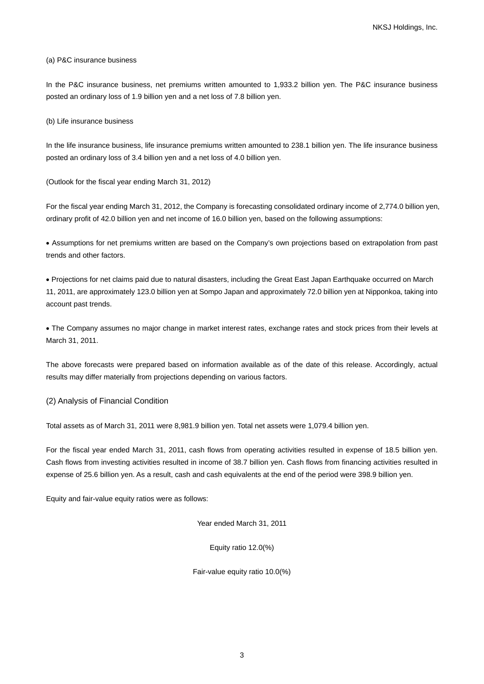#### (a) P&C insurance business

In the P&C insurance business, net premiums written amounted to 1,933.2 billion yen. The P&C insurance business posted an ordinary loss of 1.9 billion yen and a net loss of 7.8 billion yen.

#### (b) Life insurance business

In the life insurance business, life insurance premiums written amounted to 238.1 billion yen. The life insurance business posted an ordinary loss of 3.4 billion yen and a net loss of 4.0 billion yen.

(Outlook for the fiscal year ending March 31, 2012)

For the fiscal year ending March 31, 2012, the Company is forecasting consolidated ordinary income of 2,774.0 billion yen, ordinary profit of 42.0 billion yen and net income of 16.0 billion yen, based on the following assumptions:

• Assumptions for net premiums written are based on the Company's own projections based on extrapolation from past trends and other factors.

• Projections for net claims paid due to natural disasters, including the Great East Japan Earthquake occurred on March 11, 2011, are approximately 123.0 billion yen at Sompo Japan and approximately 72.0 billion yen at Nipponkoa, taking into account past trends.

• The Company assumes no major change in market interest rates, exchange rates and stock prices from their levels at March 31, 2011.

The above forecasts were prepared based on information available as of the date of this release. Accordingly, actual results may differ materially from projections depending on various factors.

(2) Analysis of Financial Condition

Total assets as of March 31, 2011 were 8,981.9 billion yen. Total net assets were 1,079.4 billion yen.

For the fiscal year ended March 31, 2011, cash flows from operating activities resulted in expense of 18.5 billion yen. Cash flows from investing activities resulted in income of 38.7 billion yen. Cash flows from financing activities resulted in expense of 25.6 billion yen. As a result, cash and cash equivalents at the end of the period were 398.9 billion yen.

Equity and fair-value equity ratios were as follows:

Year ended March 31, 2011

Equity ratio 12.0(%)

Fair-value equity ratio 10.0(%)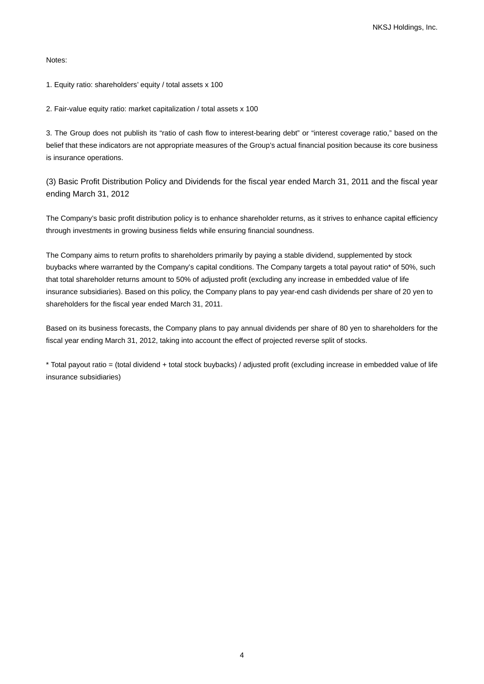Notes:

1. Equity ratio: shareholders' equity / total assets x 100

2. Fair-value equity ratio: market capitalization / total assets x 100

3. The Group does not publish its "ratio of cash flow to interest-bearing debt" or "interest coverage ratio," based on the belief that these indicators are not appropriate measures of the Group's actual financial position because its core business is insurance operations.

(3) Basic Profit Distribution Policy and Dividends for the fiscal year ended March 31, 2011 and the fiscal year ending March 31, 2012

The Company's basic profit distribution policy is to enhance shareholder returns, as it strives to enhance capital efficiency through investments in growing business fields while ensuring financial soundness.

The Company aims to return profits to shareholders primarily by paying a stable dividend, supplemented by stock buybacks where warranted by the Company's capital conditions. The Company targets a total payout ratio\* of 50%, such that total shareholder returns amount to 50% of adjusted profit (excluding any increase in embedded value of life insurance subsidiaries). Based on this policy, the Company plans to pay year-end cash dividends per share of 20 yen to shareholders for the fiscal year ended March 31, 2011.

Based on its business forecasts, the Company plans to pay annual dividends per share of 80 yen to shareholders for the fiscal year ending March 31, 2012, taking into account the effect of projected reverse split of stocks.

\* Total payout ratio = (total dividend + total stock buybacks) / adjusted profit (excluding increase in embedded value of life insurance subsidiaries)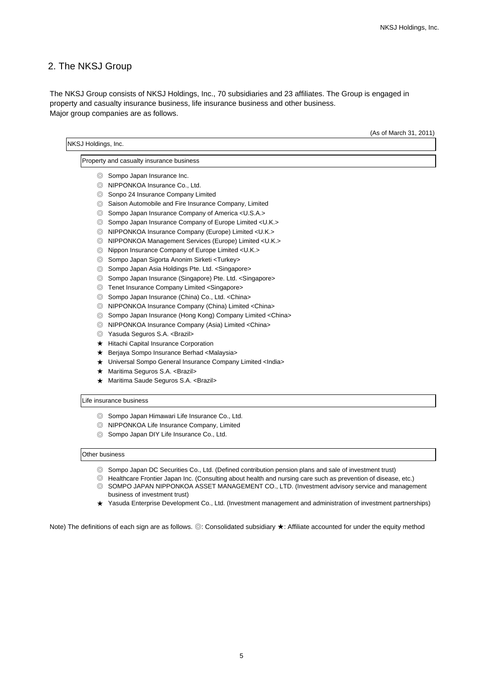## 2. The NKSJ Group

Major group companies are as follows. The NKSJ Group consists of NKSJ Holdings, Inc., 70 subsidiaries and 23 affiliates. The Group is engaged in property and casualty insurance business, life insurance business and other business.

| NKSJ Holdings, Inc. |                                                                     |  |
|---------------------|---------------------------------------------------------------------|--|
|                     | Property and casualty insurance business                            |  |
| $\circledcirc$      | Sompo Japan Insurance Inc.                                          |  |
| $\circledcirc$      | NIPPONKOA Insurance Co., Ltd.                                       |  |
| $\circledcirc$      | Sonpo 24 Insurance Company Limited                                  |  |
| $\circledcirc$      | Saison Automobile and Fire Insurance Company, Limited               |  |
| $\circledcirc$      | Sompo Japan Insurance Company of America < U.S.A.>                  |  |
| $\circledcirc$      | Sompo Japan Insurance Company of Europe Limited < U.K.>             |  |
|                     | © NIPPONKOA Insurance Company (Europe) Limited <u.k.></u.k.>        |  |
| $\circledcirc$      | NIPPONKOA Management Services (Europe) Limited <u.k.></u.k.>        |  |
| $\circledcirc$      | Nippon Insurance Company of Europe Limited < U.K.>                  |  |
| $\circledcirc$      | Sompo Japan Sigorta Anonim Sirketi <turkey></turkey>                |  |
| $\circledcirc$      | Sompo Japan Asia Holdings Pte. Ltd. <singapore></singapore>         |  |
| $\circledcirc$      | Sompo Japan Insurance (Singapore) Pte. Ltd. <singapore></singapore> |  |
| $\circledcirc$      | Tenet Insurance Company Limited <singapore></singapore>             |  |
| $\circledcirc$      | Sompo Japan Insurance (China) Co., Ltd. < China>                    |  |
| $\circledcirc$      | NIPPONKOA Insurance Company (China) Limited <china></china>         |  |
| $\circledcirc$      | Sompo Japan Insurance (Hong Kong) Company Limited <china></china>   |  |
| $\circledcirc$      | NIPPONKOA Insurance Company (Asia) Limited <china></china>          |  |
| $\circledcirc$      | Yasuda Seguros S.A. <brazil></brazil>                               |  |
| ★                   | Hitachi Capital Insurance Corporation                               |  |
| ★                   | Berjaya Sompo Insurance Berhad <malaysia></malaysia>                |  |
| *                   | Universal Sompo General Insurance Company Limited <india></india>   |  |
| ★                   | Maritima Seguros S.A. <brazil></brazil>                             |  |
| $\star$             | Maritima Saude Seguros S.A. <brazil></brazil>                       |  |
|                     | Life insurance business                                             |  |
| $\circledcirc$      | Sompo Japan Himawari Life Insurance Co., Ltd.                       |  |
| $\circledcirc$      | NIPPONKOA Life Insurance Company, Limited                           |  |
| $\circledcirc$      | Sompo Japan DIY Life Insurance Co., Ltd.                            |  |

#### Other business

- ◎ Sompo Japan DC Securities Co., Ltd. (Defined contribution pension plans and sale of investment trust)
- ◎ Healthcare Frontier Japan Inc. (Consulting about health and nursing care such as prevention of disease, etc.) ◎ SOMPO JAPAN NIPPONKOA ASSET MANAGEMENT CO., LTD. (Investment advisory service and management business of investment trust)
- ★ Yasuda Enterprise Development Co., Ltd. (Investment management and administration of investment partnerships)

Note) The definitions of each sign are as follows. ◎: Consolidated subsidiary ★: Affiliate accounted for under the equity method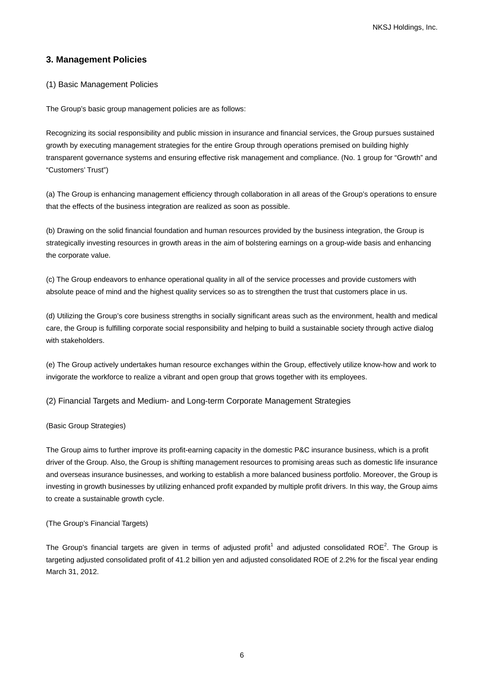## **3. Management Policies**

## (1) Basic Management Policies

The Group's basic group management policies are as follows:

Recognizing its social responsibility and public mission in insurance and financial services, the Group pursues sustained growth by executing management strategies for the entire Group through operations premised on building highly transparent governance systems and ensuring effective risk management and compliance. (No. 1 group for "Growth" and "Customers' Trust")

(a) The Group is enhancing management efficiency through collaboration in all areas of the Group's operations to ensure that the effects of the business integration are realized as soon as possible.

(b) Drawing on the solid financial foundation and human resources provided by the business integration, the Group is strategically investing resources in growth areas in the aim of bolstering earnings on a group-wide basis and enhancing the corporate value.

(c) The Group endeavors to enhance operational quality in all of the service processes and provide customers with absolute peace of mind and the highest quality services so as to strengthen the trust that customers place in us.

(d) Utilizing the Group's core business strengths in socially significant areas such as the environment, health and medical care, the Group is fulfilling corporate social responsibility and helping to build a sustainable society through active dialog with stakeholders.

(e) The Group actively undertakes human resource exchanges within the Group, effectively utilize know-how and work to invigorate the workforce to realize a vibrant and open group that grows together with its employees.

(2) Financial Targets and Medium- and Long-term Corporate Management Strategies

#### (Basic Group Strategies)

The Group aims to further improve its profit-earning capacity in the domestic P&C insurance business, which is a profit driver of the Group. Also, the Group is shifting management resources to promising areas such as domestic life insurance and overseas insurance businesses, and working to establish a more balanced business portfolio. Moreover, the Group is investing in growth businesses by utilizing enhanced profit expanded by multiple profit drivers. In this way, the Group aims to create a sustainable growth cycle.

## (The Group's Financial Targets)

The Group's financial targets are given in terms of adjusted profit<sup>1</sup> and adjusted consolidated ROE<sup>2</sup>. The Group is targeting adjusted consolidated profit of 41.2 billion yen and adjusted consolidated ROE of 2.2% for the fiscal year ending March 31, 2012.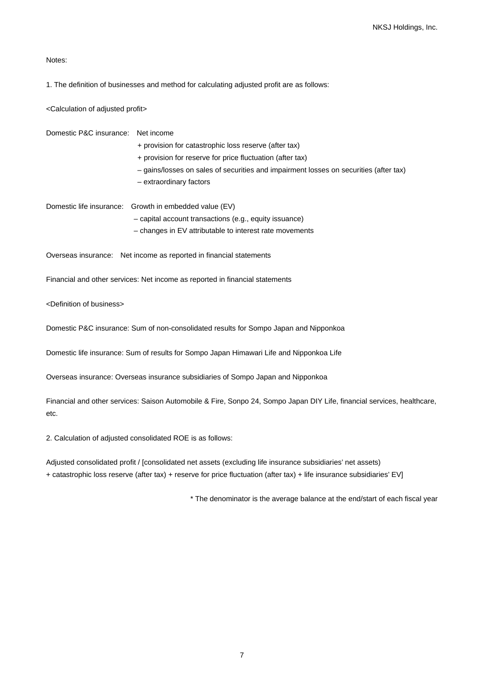Notes:

1. The definition of businesses and method for calculating adjusted profit are as follows:

<Calculation of adjusted profit>

Domestic P&C insurance:Net income

+ provision for catastrophic loss reserve (after tax)

- + provision for reserve for price fluctuation (after tax)
- gains/losses on sales of securities and impairment losses on securities (after tax)
- extraordinary factors

Domestic life insurance:Growth in embedded value (EV) – capital account transactions (e.g., equity issuance) – changes in EV attributable to interest rate movements

Overseas insurance: Net income as reported in financial statements

Financial and other services: Net income as reported in financial statements

<Definition of business>

Domestic P&C insurance: Sum of non-consolidated results for Sompo Japan and Nipponkoa

Domestic life insurance: Sum of results for Sompo Japan Himawari Life and Nipponkoa Life

Overseas insurance: Overseas insurance subsidiaries of Sompo Japan and Nipponkoa

Financial and other services: Saison Automobile & Fire, Sonpo 24, Sompo Japan DIY Life, financial services, healthcare, etc.

2. Calculation of adjusted consolidated ROE is as follows:

Adjusted consolidated profit / [consolidated net assets (excluding life insurance subsidiaries' net assets) + catastrophic loss reserve (after tax) + reserve for price fluctuation (after tax) + life insurance subsidiaries' EV]

\* The denominator is the average balance at the end/start of each fiscal year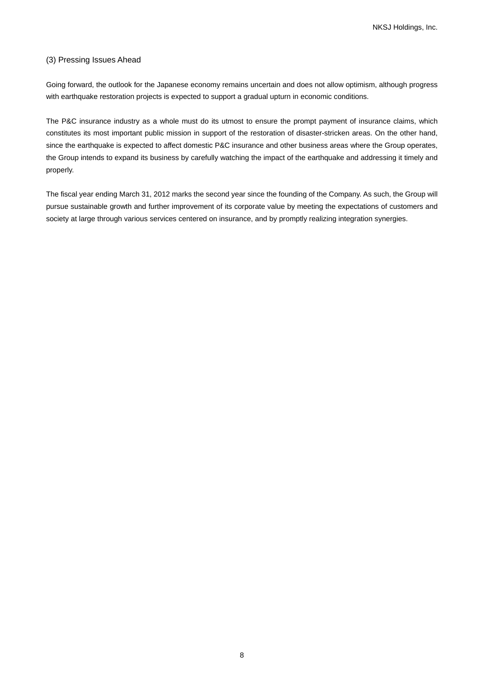## (3) Pressing Issues Ahead

Going forward, the outlook for the Japanese economy remains uncertain and does not allow optimism, although progress with earthquake restoration projects is expected to support a gradual upturn in economic conditions.

The P&C insurance industry as a whole must do its utmost to ensure the prompt payment of insurance claims, which constitutes its most important public mission in support of the restoration of disaster-stricken areas. On the other hand, since the earthquake is expected to affect domestic P&C insurance and other business areas where the Group operates, the Group intends to expand its business by carefully watching the impact of the earthquake and addressing it timely and properly.

The fiscal year ending March 31, 2012 marks the second year since the founding of the Company. As such, the Group will pursue sustainable growth and further improvement of its corporate value by meeting the expectations of customers and society at large through various services centered on insurance, and by promptly realizing integration synergies.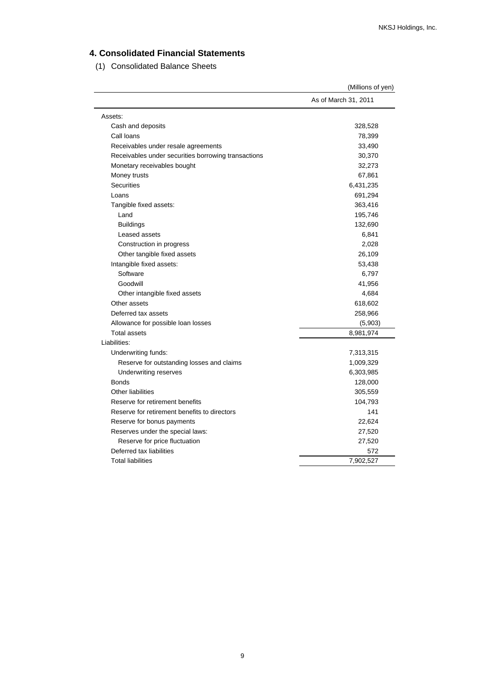# **4. Consolidated Financial Statements**

(1) Consolidated Balance Sheets

|                                                     | (Millions of yen)    |
|-----------------------------------------------------|----------------------|
|                                                     | As of March 31, 2011 |
| Assets:                                             |                      |
| Cash and deposits                                   | 328,528              |
| Call loans                                          | 78,399               |
| Receivables under resale agreements                 | 33,490               |
| Receivables under securities borrowing transactions | 30,370               |
| Monetary receivables bought                         | 32,273               |
| Money trusts                                        | 67,861               |
| <b>Securities</b>                                   | 6,431,235            |
| Loans                                               | 691,294              |
| Tangible fixed assets:                              | 363,416              |
| Land                                                | 195,746              |
| <b>Buildings</b>                                    | 132,690              |
| Leased assets                                       | 6,841                |
| Construction in progress                            | 2,028                |
| Other tangible fixed assets                         | 26,109               |
| Intangible fixed assets:                            | 53,438               |
| Software                                            | 6,797                |
| Goodwill                                            | 41,956               |
| Other intangible fixed assets                       | 4,684                |
| Other assets                                        | 618,602              |
| Deferred tax assets                                 | 258,966              |
| Allowance for possible loan losses                  | (5,903)              |
| <b>Total assets</b>                                 | 8,981,974            |
| Liabilities:                                        |                      |
| Underwriting funds:                                 | 7,313,315            |
| Reserve for outstanding losses and claims           | 1,009,329            |
| Underwriting reserves                               | 6,303,985            |
| <b>Bonds</b>                                        | 128,000              |
| <b>Other liabilities</b>                            | 305,559              |
| Reserve for retirement benefits                     | 104,793              |
| Reserve for retirement benefits to directors        | 141                  |
| Reserve for bonus payments                          | 22,624               |
| Reserves under the special laws:                    | 27,520               |
| Reserve for price fluctuation                       | 27,520               |
| Deferred tax liabilities                            | 572                  |
| <b>Total liabilities</b>                            | 7,902,527            |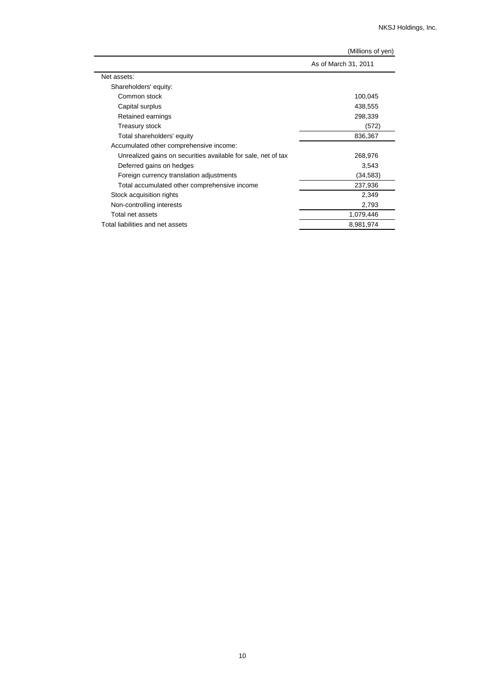|                                                               | $\frac{1}{2}$        |
|---------------------------------------------------------------|----------------------|
|                                                               | As of March 31, 2011 |
| Net assets:                                                   |                      |
| Shareholders' equity:                                         |                      |
| Common stock                                                  | 100,045              |
| Capital surplus                                               | 438,555              |
| Retained earnings                                             | 298,339              |
| Treasury stock                                                | (572)                |
| Total shareholders' equity                                    | 836,367              |
| Accumulated other comprehensive income:                       |                      |
| Unrealized gains on securities available for sale, net of tax | 268,976              |
| Deferred gains on hedges                                      | 3,543                |
| Foreign currency translation adjustments                      | (34, 583)            |
| Total accumulated other comprehensive income                  | 237,936              |
| Stock acquisition rights                                      | 2,349                |
| Non-controlling interests                                     | 2,793                |
| Total net assets                                              | 1,079,446            |
| Total liabilities and net assets                              | 8,981,974            |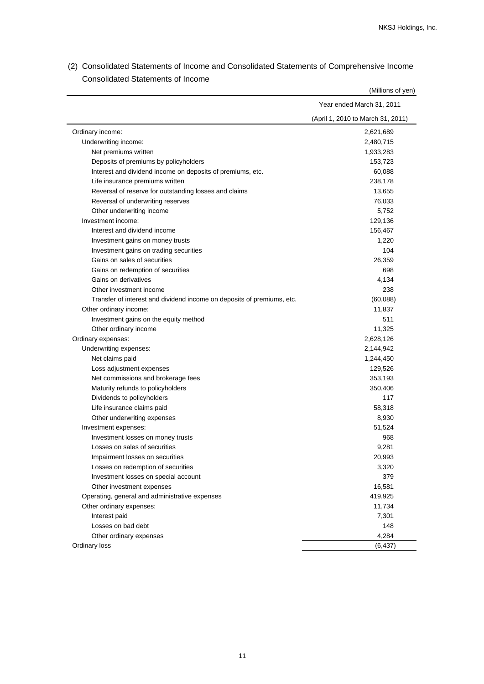| (April 1, 2010 to March 31, 2011)<br>Ordinary income:<br>2,621,689<br>Underwriting income:<br>2,480,715<br>Net premiums written<br>1,933,283<br>Deposits of premiums by policyholders<br>153,723<br>Interest and dividend income on deposits of premiums, etc.<br>60,088<br>Life insurance premiums written<br>238,178<br>Reversal of reserve for outstanding losses and claims<br>13,655<br>Reversal of underwriting reserves<br>76,033<br>Other underwriting income<br>5,752<br>Investment income:<br>129,136<br>Interest and dividend income<br>156,467<br>Investment gains on money trusts<br>1,220<br>104<br>Investment gains on trading securities<br>Gains on sales of securities<br>26,359<br>698<br>Gains on redemption of securities<br>Gains on derivatives<br>4,134<br>238<br>Other investment income<br>(60,088)<br>Transfer of interest and dividend income on deposits of premiums, etc.<br>Other ordinary income:<br>11,837<br>Investment gains on the equity method<br>511<br>Other ordinary income<br>11,325<br>Ordinary expenses:<br>2,628,126<br>Underwriting expenses:<br>2,144,942<br>Net claims paid<br>1,244,450<br>Loss adjustment expenses<br>129,526<br>Net commissions and brokerage fees<br>353,193<br>Maturity refunds to policyholders<br>350,406<br>Dividends to policyholders<br>117<br>Life insurance claims paid<br>58,318<br>Other underwriting expenses<br>8,930<br>Investment expenses:<br>51,524<br>Investment losses on money trusts<br>968<br>Losses on sales of securities<br>9,281<br>Impairment losses on securities<br>20,993<br>Losses on redemption of securities<br>3,320<br>379<br>Investment losses on special account<br>16,581<br>Other investment expenses<br>419,925<br>Operating, general and administrative expenses<br>Other ordinary expenses:<br>11,734<br>Interest paid<br>7,301<br>Losses on bad debt<br>148<br>4,284<br>Other ordinary expenses<br>Ordinary loss<br>(6, 437) | Year ended March 31, 2011 |
|--------------------------------------------------------------------------------------------------------------------------------------------------------------------------------------------------------------------------------------------------------------------------------------------------------------------------------------------------------------------------------------------------------------------------------------------------------------------------------------------------------------------------------------------------------------------------------------------------------------------------------------------------------------------------------------------------------------------------------------------------------------------------------------------------------------------------------------------------------------------------------------------------------------------------------------------------------------------------------------------------------------------------------------------------------------------------------------------------------------------------------------------------------------------------------------------------------------------------------------------------------------------------------------------------------------------------------------------------------------------------------------------------------------------------------------------------------------------------------------------------------------------------------------------------------------------------------------------------------------------------------------------------------------------------------------------------------------------------------------------------------------------------------------------------------------------------------------------------------------------------------------------------------------------------------------------|---------------------------|
|                                                                                                                                                                                                                                                                                                                                                                                                                                                                                                                                                                                                                                                                                                                                                                                                                                                                                                                                                                                                                                                                                                                                                                                                                                                                                                                                                                                                                                                                                                                                                                                                                                                                                                                                                                                                                                                                                                                                            |                           |
|                                                                                                                                                                                                                                                                                                                                                                                                                                                                                                                                                                                                                                                                                                                                                                                                                                                                                                                                                                                                                                                                                                                                                                                                                                                                                                                                                                                                                                                                                                                                                                                                                                                                                                                                                                                                                                                                                                                                            |                           |
|                                                                                                                                                                                                                                                                                                                                                                                                                                                                                                                                                                                                                                                                                                                                                                                                                                                                                                                                                                                                                                                                                                                                                                                                                                                                                                                                                                                                                                                                                                                                                                                                                                                                                                                                                                                                                                                                                                                                            |                           |
|                                                                                                                                                                                                                                                                                                                                                                                                                                                                                                                                                                                                                                                                                                                                                                                                                                                                                                                                                                                                                                                                                                                                                                                                                                                                                                                                                                                                                                                                                                                                                                                                                                                                                                                                                                                                                                                                                                                                            |                           |
|                                                                                                                                                                                                                                                                                                                                                                                                                                                                                                                                                                                                                                                                                                                                                                                                                                                                                                                                                                                                                                                                                                                                                                                                                                                                                                                                                                                                                                                                                                                                                                                                                                                                                                                                                                                                                                                                                                                                            |                           |
|                                                                                                                                                                                                                                                                                                                                                                                                                                                                                                                                                                                                                                                                                                                                                                                                                                                                                                                                                                                                                                                                                                                                                                                                                                                                                                                                                                                                                                                                                                                                                                                                                                                                                                                                                                                                                                                                                                                                            |                           |
|                                                                                                                                                                                                                                                                                                                                                                                                                                                                                                                                                                                                                                                                                                                                                                                                                                                                                                                                                                                                                                                                                                                                                                                                                                                                                                                                                                                                                                                                                                                                                                                                                                                                                                                                                                                                                                                                                                                                            |                           |
|                                                                                                                                                                                                                                                                                                                                                                                                                                                                                                                                                                                                                                                                                                                                                                                                                                                                                                                                                                                                                                                                                                                                                                                                                                                                                                                                                                                                                                                                                                                                                                                                                                                                                                                                                                                                                                                                                                                                            |                           |
|                                                                                                                                                                                                                                                                                                                                                                                                                                                                                                                                                                                                                                                                                                                                                                                                                                                                                                                                                                                                                                                                                                                                                                                                                                                                                                                                                                                                                                                                                                                                                                                                                                                                                                                                                                                                                                                                                                                                            |                           |
|                                                                                                                                                                                                                                                                                                                                                                                                                                                                                                                                                                                                                                                                                                                                                                                                                                                                                                                                                                                                                                                                                                                                                                                                                                                                                                                                                                                                                                                                                                                                                                                                                                                                                                                                                                                                                                                                                                                                            |                           |
|                                                                                                                                                                                                                                                                                                                                                                                                                                                                                                                                                                                                                                                                                                                                                                                                                                                                                                                                                                                                                                                                                                                                                                                                                                                                                                                                                                                                                                                                                                                                                                                                                                                                                                                                                                                                                                                                                                                                            |                           |
|                                                                                                                                                                                                                                                                                                                                                                                                                                                                                                                                                                                                                                                                                                                                                                                                                                                                                                                                                                                                                                                                                                                                                                                                                                                                                                                                                                                                                                                                                                                                                                                                                                                                                                                                                                                                                                                                                                                                            |                           |
|                                                                                                                                                                                                                                                                                                                                                                                                                                                                                                                                                                                                                                                                                                                                                                                                                                                                                                                                                                                                                                                                                                                                                                                                                                                                                                                                                                                                                                                                                                                                                                                                                                                                                                                                                                                                                                                                                                                                            |                           |
|                                                                                                                                                                                                                                                                                                                                                                                                                                                                                                                                                                                                                                                                                                                                                                                                                                                                                                                                                                                                                                                                                                                                                                                                                                                                                                                                                                                                                                                                                                                                                                                                                                                                                                                                                                                                                                                                                                                                            |                           |
|                                                                                                                                                                                                                                                                                                                                                                                                                                                                                                                                                                                                                                                                                                                                                                                                                                                                                                                                                                                                                                                                                                                                                                                                                                                                                                                                                                                                                                                                                                                                                                                                                                                                                                                                                                                                                                                                                                                                            |                           |
|                                                                                                                                                                                                                                                                                                                                                                                                                                                                                                                                                                                                                                                                                                                                                                                                                                                                                                                                                                                                                                                                                                                                                                                                                                                                                                                                                                                                                                                                                                                                                                                                                                                                                                                                                                                                                                                                                                                                            |                           |
|                                                                                                                                                                                                                                                                                                                                                                                                                                                                                                                                                                                                                                                                                                                                                                                                                                                                                                                                                                                                                                                                                                                                                                                                                                                                                                                                                                                                                                                                                                                                                                                                                                                                                                                                                                                                                                                                                                                                            |                           |
|                                                                                                                                                                                                                                                                                                                                                                                                                                                                                                                                                                                                                                                                                                                                                                                                                                                                                                                                                                                                                                                                                                                                                                                                                                                                                                                                                                                                                                                                                                                                                                                                                                                                                                                                                                                                                                                                                                                                            |                           |
|                                                                                                                                                                                                                                                                                                                                                                                                                                                                                                                                                                                                                                                                                                                                                                                                                                                                                                                                                                                                                                                                                                                                                                                                                                                                                                                                                                                                                                                                                                                                                                                                                                                                                                                                                                                                                                                                                                                                            |                           |
|                                                                                                                                                                                                                                                                                                                                                                                                                                                                                                                                                                                                                                                                                                                                                                                                                                                                                                                                                                                                                                                                                                                                                                                                                                                                                                                                                                                                                                                                                                                                                                                                                                                                                                                                                                                                                                                                                                                                            |                           |
|                                                                                                                                                                                                                                                                                                                                                                                                                                                                                                                                                                                                                                                                                                                                                                                                                                                                                                                                                                                                                                                                                                                                                                                                                                                                                                                                                                                                                                                                                                                                                                                                                                                                                                                                                                                                                                                                                                                                            |                           |
|                                                                                                                                                                                                                                                                                                                                                                                                                                                                                                                                                                                                                                                                                                                                                                                                                                                                                                                                                                                                                                                                                                                                                                                                                                                                                                                                                                                                                                                                                                                                                                                                                                                                                                                                                                                                                                                                                                                                            |                           |
|                                                                                                                                                                                                                                                                                                                                                                                                                                                                                                                                                                                                                                                                                                                                                                                                                                                                                                                                                                                                                                                                                                                                                                                                                                                                                                                                                                                                                                                                                                                                                                                                                                                                                                                                                                                                                                                                                                                                            |                           |
|                                                                                                                                                                                                                                                                                                                                                                                                                                                                                                                                                                                                                                                                                                                                                                                                                                                                                                                                                                                                                                                                                                                                                                                                                                                                                                                                                                                                                                                                                                                                                                                                                                                                                                                                                                                                                                                                                                                                            |                           |
|                                                                                                                                                                                                                                                                                                                                                                                                                                                                                                                                                                                                                                                                                                                                                                                                                                                                                                                                                                                                                                                                                                                                                                                                                                                                                                                                                                                                                                                                                                                                                                                                                                                                                                                                                                                                                                                                                                                                            |                           |
|                                                                                                                                                                                                                                                                                                                                                                                                                                                                                                                                                                                                                                                                                                                                                                                                                                                                                                                                                                                                                                                                                                                                                                                                                                                                                                                                                                                                                                                                                                                                                                                                                                                                                                                                                                                                                                                                                                                                            |                           |
|                                                                                                                                                                                                                                                                                                                                                                                                                                                                                                                                                                                                                                                                                                                                                                                                                                                                                                                                                                                                                                                                                                                                                                                                                                                                                                                                                                                                                                                                                                                                                                                                                                                                                                                                                                                                                                                                                                                                            |                           |
|                                                                                                                                                                                                                                                                                                                                                                                                                                                                                                                                                                                                                                                                                                                                                                                                                                                                                                                                                                                                                                                                                                                                                                                                                                                                                                                                                                                                                                                                                                                                                                                                                                                                                                                                                                                                                                                                                                                                            |                           |
|                                                                                                                                                                                                                                                                                                                                                                                                                                                                                                                                                                                                                                                                                                                                                                                                                                                                                                                                                                                                                                                                                                                                                                                                                                                                                                                                                                                                                                                                                                                                                                                                                                                                                                                                                                                                                                                                                                                                            |                           |
|                                                                                                                                                                                                                                                                                                                                                                                                                                                                                                                                                                                                                                                                                                                                                                                                                                                                                                                                                                                                                                                                                                                                                                                                                                                                                                                                                                                                                                                                                                                                                                                                                                                                                                                                                                                                                                                                                                                                            |                           |
|                                                                                                                                                                                                                                                                                                                                                                                                                                                                                                                                                                                                                                                                                                                                                                                                                                                                                                                                                                                                                                                                                                                                                                                                                                                                                                                                                                                                                                                                                                                                                                                                                                                                                                                                                                                                                                                                                                                                            |                           |
|                                                                                                                                                                                                                                                                                                                                                                                                                                                                                                                                                                                                                                                                                                                                                                                                                                                                                                                                                                                                                                                                                                                                                                                                                                                                                                                                                                                                                                                                                                                                                                                                                                                                                                                                                                                                                                                                                                                                            |                           |
|                                                                                                                                                                                                                                                                                                                                                                                                                                                                                                                                                                                                                                                                                                                                                                                                                                                                                                                                                                                                                                                                                                                                                                                                                                                                                                                                                                                                                                                                                                                                                                                                                                                                                                                                                                                                                                                                                                                                            |                           |
|                                                                                                                                                                                                                                                                                                                                                                                                                                                                                                                                                                                                                                                                                                                                                                                                                                                                                                                                                                                                                                                                                                                                                                                                                                                                                                                                                                                                                                                                                                                                                                                                                                                                                                                                                                                                                                                                                                                                            |                           |
|                                                                                                                                                                                                                                                                                                                                                                                                                                                                                                                                                                                                                                                                                                                                                                                                                                                                                                                                                                                                                                                                                                                                                                                                                                                                                                                                                                                                                                                                                                                                                                                                                                                                                                                                                                                                                                                                                                                                            |                           |
|                                                                                                                                                                                                                                                                                                                                                                                                                                                                                                                                                                                                                                                                                                                                                                                                                                                                                                                                                                                                                                                                                                                                                                                                                                                                                                                                                                                                                                                                                                                                                                                                                                                                                                                                                                                                                                                                                                                                            |                           |
|                                                                                                                                                                                                                                                                                                                                                                                                                                                                                                                                                                                                                                                                                                                                                                                                                                                                                                                                                                                                                                                                                                                                                                                                                                                                                                                                                                                                                                                                                                                                                                                                                                                                                                                                                                                                                                                                                                                                            |                           |
|                                                                                                                                                                                                                                                                                                                                                                                                                                                                                                                                                                                                                                                                                                                                                                                                                                                                                                                                                                                                                                                                                                                                                                                                                                                                                                                                                                                                                                                                                                                                                                                                                                                                                                                                                                                                                                                                                                                                            |                           |
|                                                                                                                                                                                                                                                                                                                                                                                                                                                                                                                                                                                                                                                                                                                                                                                                                                                                                                                                                                                                                                                                                                                                                                                                                                                                                                                                                                                                                                                                                                                                                                                                                                                                                                                                                                                                                                                                                                                                            |                           |
|                                                                                                                                                                                                                                                                                                                                                                                                                                                                                                                                                                                                                                                                                                                                                                                                                                                                                                                                                                                                                                                                                                                                                                                                                                                                                                                                                                                                                                                                                                                                                                                                                                                                                                                                                                                                                                                                                                                                            |                           |
|                                                                                                                                                                                                                                                                                                                                                                                                                                                                                                                                                                                                                                                                                                                                                                                                                                                                                                                                                                                                                                                                                                                                                                                                                                                                                                                                                                                                                                                                                                                                                                                                                                                                                                                                                                                                                                                                                                                                            |                           |
|                                                                                                                                                                                                                                                                                                                                                                                                                                                                                                                                                                                                                                                                                                                                                                                                                                                                                                                                                                                                                                                                                                                                                                                                                                                                                                                                                                                                                                                                                                                                                                                                                                                                                                                                                                                                                                                                                                                                            |                           |
|                                                                                                                                                                                                                                                                                                                                                                                                                                                                                                                                                                                                                                                                                                                                                                                                                                                                                                                                                                                                                                                                                                                                                                                                                                                                                                                                                                                                                                                                                                                                                                                                                                                                                                                                                                                                                                                                                                                                            |                           |
|                                                                                                                                                                                                                                                                                                                                                                                                                                                                                                                                                                                                                                                                                                                                                                                                                                                                                                                                                                                                                                                                                                                                                                                                                                                                                                                                                                                                                                                                                                                                                                                                                                                                                                                                                                                                                                                                                                                                            |                           |

(2) Consolidated Statements of Income and Consolidated Statements of Comprehensive Income Consolidated Statements of Income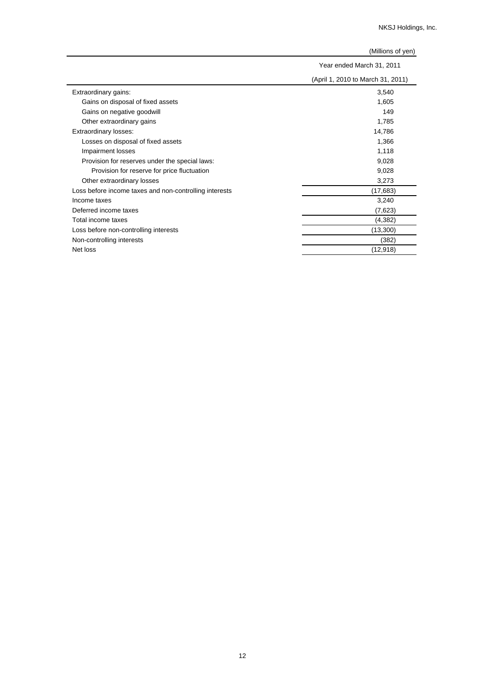|                                                        | Year ended March 31, 2011         |  |
|--------------------------------------------------------|-----------------------------------|--|
|                                                        | (April 1, 2010 to March 31, 2011) |  |
| Extraordinary gains:                                   | 3,540                             |  |
| Gains on disposal of fixed assets                      | 1,605                             |  |
| Gains on negative goodwill                             | 149                               |  |
| Other extraordinary gains                              | 1,785                             |  |
| Extraordinary losses:                                  | 14,786                            |  |
| Losses on disposal of fixed assets                     | 1,366                             |  |
| Impairment losses                                      | 1,118                             |  |
| Provision for reserves under the special laws:         | 9,028                             |  |
| Provision for reserve for price fluctuation            | 9,028                             |  |
| Other extraordinary losses                             | 3,273                             |  |
| Loss before income taxes and non-controlling interests | (17, 683)                         |  |
| Income taxes                                           | 3,240                             |  |
| Deferred income taxes                                  | (7,623)                           |  |
| Total income taxes                                     | (4, 382)                          |  |
| Loss before non-controlling interests                  | (13,300)                          |  |
| Non-controlling interests                              | (382)                             |  |
| Net loss                                               | (12, 918)                         |  |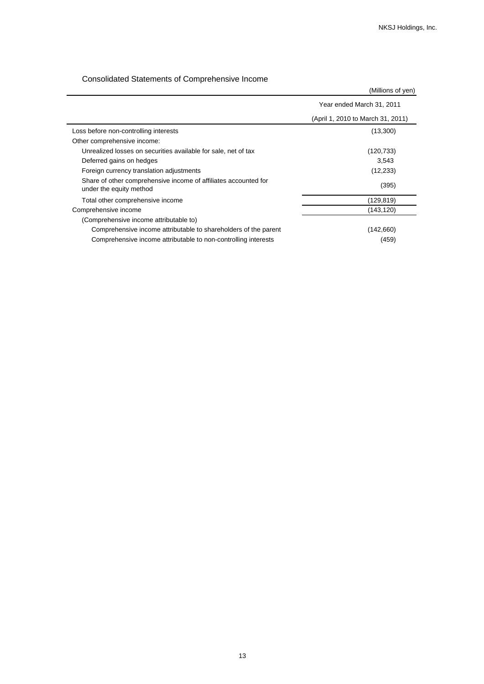# Consolidated Statements of Comprehensive Income

|                                                                                            | (Millions of yen)                 |
|--------------------------------------------------------------------------------------------|-----------------------------------|
|                                                                                            | Year ended March 31, 2011         |
|                                                                                            | (April 1, 2010 to March 31, 2011) |
| Loss before non-controlling interests                                                      | (13,300)                          |
| Other comprehensive income:                                                                |                                   |
| Unrealized losses on securities available for sale, net of tax                             | (120, 733)                        |
| Deferred gains on hedges                                                                   | 3,543                             |
| Foreign currency translation adjustments                                                   | (12, 233)                         |
| Share of other comprehensive income of affiliates accounted for<br>under the equity method | (395)                             |
| Total other comprehensive income                                                           | (129, 819)                        |
| Comprehensive income                                                                       | (143, 120)                        |
| (Comprehensive income attributable to)                                                     |                                   |
| Comprehensive income attributable to shareholders of the parent                            | (142,660)                         |
| Comprehensive income attributable to non-controlling interests                             | (459)                             |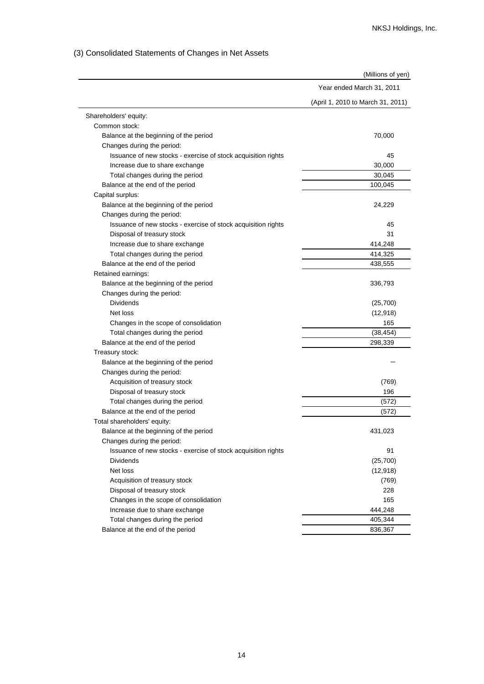# (3) Consolidated Statements of Changes in Net Assets

|                                                               | (Millions of yen)                 |
|---------------------------------------------------------------|-----------------------------------|
|                                                               | Year ended March 31, 2011         |
|                                                               | (April 1, 2010 to March 31, 2011) |
| Shareholders' equity:                                         |                                   |
| Common stock:                                                 |                                   |
| Balance at the beginning of the period                        | 70,000                            |
| Changes during the period:                                    |                                   |
| Issuance of new stocks - exercise of stock acquisition rights | 45                                |
| Increase due to share exchange                                | 30.000                            |
| Total changes during the period                               | 30,045                            |
| Balance at the end of the period                              | 100,045                           |
| Capital surplus:                                              |                                   |
| Balance at the beginning of the period                        | 24,229                            |
| Changes during the period:                                    |                                   |
| Issuance of new stocks - exercise of stock acquisition rights | 45                                |
| Disposal of treasury stock                                    | 31                                |
| Increase due to share exchange                                | 414,248                           |
| Total changes during the period                               | 414,325                           |
| Balance at the end of the period                              | 438,555                           |
| Retained earnings:                                            |                                   |
| Balance at the beginning of the period                        | 336,793                           |
| Changes during the period:                                    |                                   |
| <b>Dividends</b>                                              | (25,700)                          |
| Net loss                                                      | (12, 918)                         |
| Changes in the scope of consolidation                         | 165                               |
| Total changes during the period                               | (38, 454)                         |
| Balance at the end of the period                              | 298,339                           |
| Treasury stock:                                               |                                   |
| Balance at the beginning of the period                        |                                   |
| Changes during the period:                                    |                                   |
| Acquisition of treasury stock                                 | (769)                             |
| Disposal of treasury stock                                    | 196                               |
| Total changes during the period                               | (572)                             |
| Balance at the end of the period                              | (572)                             |
| Total shareholders' equity:                                   |                                   |
| Balance at the beginning of the period                        | 431,023                           |
| Changes during the period:                                    |                                   |
| Issuance of new stocks - exercise of stock acquisition rights | 91                                |
| <b>Dividends</b>                                              | (25,700)                          |
| Net loss                                                      | (12, 918)                         |
| Acquisition of treasury stock                                 | (769)                             |
| Disposal of treasury stock                                    | 228                               |
| Changes in the scope of consolidation                         | 165                               |
| Increase due to share exchange                                | 444,248                           |
| Total changes during the period                               | 405,344                           |
| Balance at the end of the period                              | 836,367                           |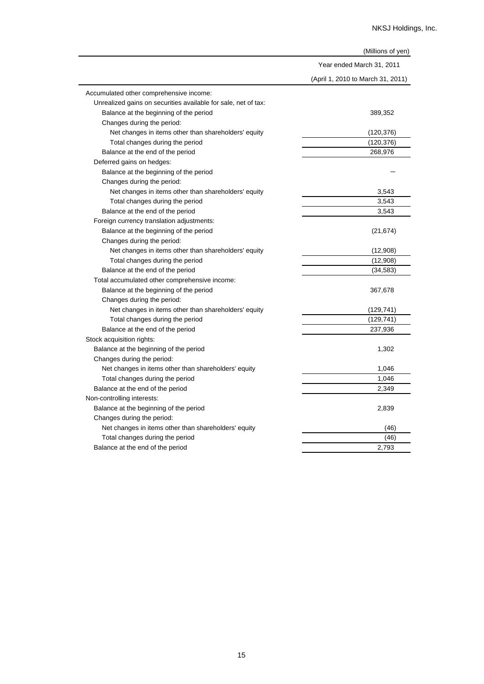|                                                                | (Millions of yen)                 |
|----------------------------------------------------------------|-----------------------------------|
|                                                                | Year ended March 31, 2011         |
|                                                                | (April 1, 2010 to March 31, 2011) |
| Accumulated other comprehensive income:                        |                                   |
| Unrealized gains on securities available for sale, net of tax: |                                   |
| Balance at the beginning of the period                         | 389,352                           |
| Changes during the period:                                     |                                   |
| Net changes in items other than shareholders' equity           | (120, 376)                        |
| Total changes during the period                                | (120, 376)                        |
| Balance at the end of the period                               | 268,976                           |
| Deferred gains on hedges:                                      |                                   |
| Balance at the beginning of the period                         |                                   |
| Changes during the period:                                     |                                   |
| Net changes in items other than shareholders' equity           | 3,543                             |
| Total changes during the period                                | 3,543                             |
| Balance at the end of the period                               | 3,543                             |
| Foreign currency translation adjustments:                      |                                   |
| Balance at the beginning of the period                         | (21, 674)                         |
| Changes during the period:                                     |                                   |
| Net changes in items other than shareholders' equity           | (12,908)                          |
| Total changes during the period                                | (12,908)                          |
| Balance at the end of the period                               | (34, 583)                         |
| Total accumulated other comprehensive income:                  |                                   |
| Balance at the beginning of the period                         | 367,678                           |
| Changes during the period:                                     |                                   |
| Net changes in items other than shareholders' equity           | (129, 741)                        |
| Total changes during the period                                | (129, 741)                        |
| Balance at the end of the period                               | 237,936                           |
| Stock acquisition rights:                                      |                                   |
| Balance at the beginning of the period                         | 1,302                             |
| Changes during the period:                                     |                                   |
| Net changes in items other than shareholders' equity           | 1,046                             |
| Total changes during the period                                | 1,046                             |
| Balance at the end of the period                               | 2,349                             |
| Non-controlling interests:                                     |                                   |
| Balance at the beginning of the period                         | 2,839                             |
| Changes during the period:                                     |                                   |
| Net changes in items other than shareholders' equity           | (46)                              |
| Total changes during the period                                | (46)                              |
| Balance at the end of the period                               | 2,793                             |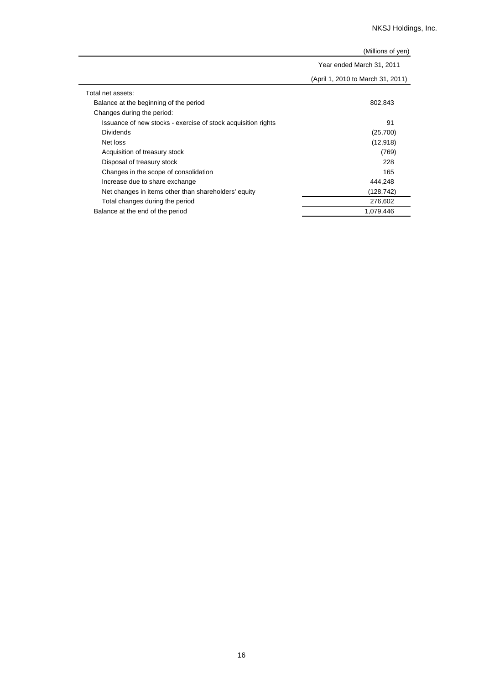|                                                               | (Millions of yen)                 |
|---------------------------------------------------------------|-----------------------------------|
|                                                               | Year ended March 31, 2011         |
|                                                               | (April 1, 2010 to March 31, 2011) |
| Total net assets:                                             |                                   |
| Balance at the beginning of the period                        | 802,843                           |
| Changes during the period:                                    |                                   |
| Issuance of new stocks - exercise of stock acquisition rights | 91                                |
| <b>Dividends</b>                                              | (25,700)                          |
| Net loss                                                      | (12, 918)                         |
| Acquisition of treasury stock                                 | (769)                             |
| Disposal of treasury stock                                    | 228                               |
| Changes in the scope of consolidation                         | 165                               |
| Increase due to share exchange                                | 444,248                           |
| Net changes in items other than shareholders' equity          | (128,742)                         |
| Total changes during the period                               | 276,602                           |
| Balance at the end of the period                              | 1,079,446                         |

 $\overline{a}$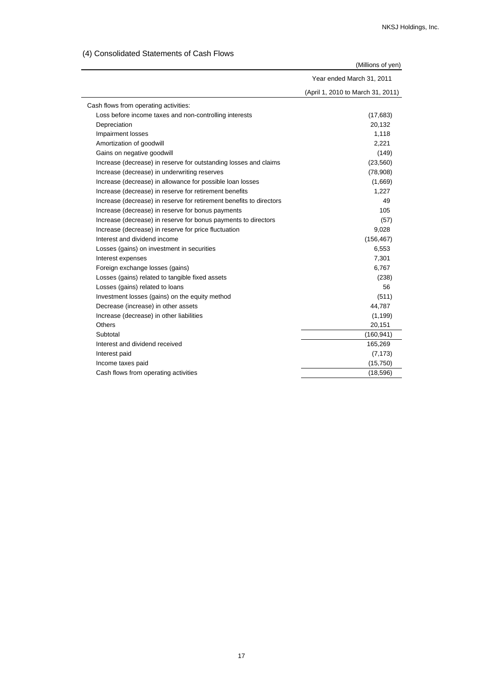(4) Consolidated Statements of Cash Flows

|                                                                     | (Millions of yen)                 |
|---------------------------------------------------------------------|-----------------------------------|
|                                                                     | Year ended March 31, 2011         |
|                                                                     | (April 1, 2010 to March 31, 2011) |
| Cash flows from operating activities:                               |                                   |
| Loss before income taxes and non-controlling interests              | (17,683)                          |
| Depreciation                                                        | 20,132                            |
| <b>Impairment losses</b>                                            | 1,118                             |
| Amortization of goodwill                                            | 2,221                             |
| Gains on negative goodwill                                          | (149)                             |
| Increase (decrease) in reserve for outstanding losses and claims    | (23, 560)                         |
| Increase (decrease) in underwriting reserves                        | (78,908)                          |
| Increase (decrease) in allowance for possible loan losses           | (1,669)                           |
| Increase (decrease) in reserve for retirement benefits              | 1,227                             |
| Increase (decrease) in reserve for retirement benefits to directors | 49                                |
| Increase (decrease) in reserve for bonus payments                   | 105                               |
| Increase (decrease) in reserve for bonus payments to directors      | (57)                              |
| Increase (decrease) in reserve for price fluctuation                | 9,028                             |
| Interest and dividend income                                        | (156, 467)                        |
| Losses (gains) on investment in securities                          | 6,553                             |
| Interest expenses                                                   | 7,301                             |
| Foreign exchange losses (gains)                                     | 6,767                             |
| Losses (gains) related to tangible fixed assets                     | (238)                             |
| Losses (gains) related to loans                                     | 56                                |
| Investment losses (gains) on the equity method                      | (511)                             |
| Decrease (increase) in other assets                                 | 44,787                            |
| Increase (decrease) in other liabilities                            | (1, 199)                          |
| Others                                                              | 20,151                            |
| Subtotal                                                            | (160, 941)                        |
| Interest and dividend received                                      | 165,269                           |
| Interest paid                                                       | (7, 173)                          |
| Income taxes paid                                                   | (15,750)                          |
| Cash flows from operating activities                                | (18, 596)                         |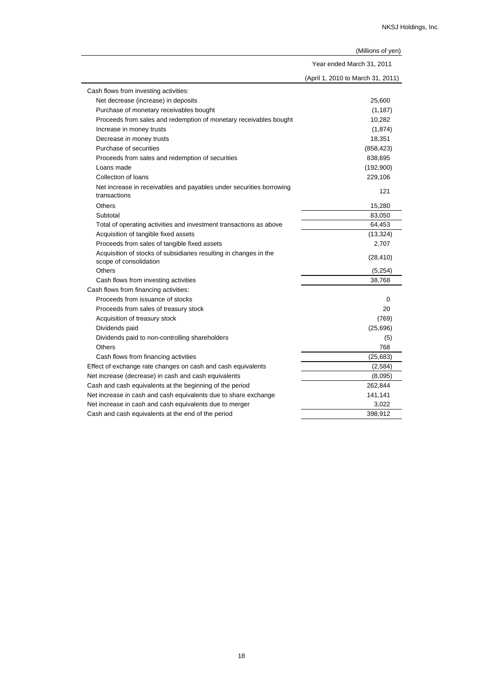|                                                                                             | Year ended March 31, 2011         |  |
|---------------------------------------------------------------------------------------------|-----------------------------------|--|
|                                                                                             | (April 1, 2010 to March 31, 2011) |  |
| Cash flows from investing activities:                                                       |                                   |  |
| Net decrease (increase) in deposits                                                         | 25,600                            |  |
| Purchase of monetary receivables bought                                                     | (1, 187)                          |  |
| Proceeds from sales and redemption of monetary receivables bought                           | 10,282                            |  |
| Increase in money trusts                                                                    | (1,874)                           |  |
| Decrease in money trusts                                                                    | 18,351                            |  |
| Purchase of securities                                                                      | (858, 423)                        |  |
| Proceeds from sales and redemption of securities                                            | 838,695                           |  |
| Loans made                                                                                  | (192,900)                         |  |
| Collection of loans                                                                         | 229,106                           |  |
| Net increase in receivables and payables under securities borrowing<br>transactions         | 121                               |  |
| Others                                                                                      | 15,280                            |  |
| Subtotal                                                                                    | 83,050                            |  |
| Total of operating activities and investment transactions as above                          | 64,453                            |  |
| Acquisition of tangible fixed assets                                                        | (13, 324)                         |  |
| Proceeds from sales of tangible fixed assets                                                | 2,707                             |  |
| Acquisition of stocks of subsidiaries resulting in changes in the<br>scope of consolidation | (28, 410)                         |  |
| <b>Others</b>                                                                               | (5,254)                           |  |
| Cash flows from investing activities                                                        | 38,768                            |  |
| Cash flows from financing activities:                                                       |                                   |  |
| Proceeds from issuance of stocks                                                            | 0                                 |  |
| Proceeds from sales of treasury stock                                                       | 20                                |  |
| Acquisition of treasury stock                                                               | (769)                             |  |
| Dividends paid                                                                              | (25, 696)                         |  |
| Dividends paid to non-controlling shareholders                                              | (5)                               |  |
| Others                                                                                      | 768                               |  |
| Cash flows from financing activities                                                        | (25, 683)                         |  |
| Effect of exchange rate changes on cash and cash equivalents                                | (2, 584)                          |  |
| Net increase (decrease) in cash and cash equivalents                                        | (8,095)                           |  |
| Cash and cash equivalents at the beginning of the period                                    | 262,844                           |  |
| Net increase in cash and cash equivalents due to share exchange                             | 141,141                           |  |
| Net increase in cash and cash equivalents due to merger                                     | 3,022                             |  |
| Cash and cash equivalents at the end of the period                                          | 398,912                           |  |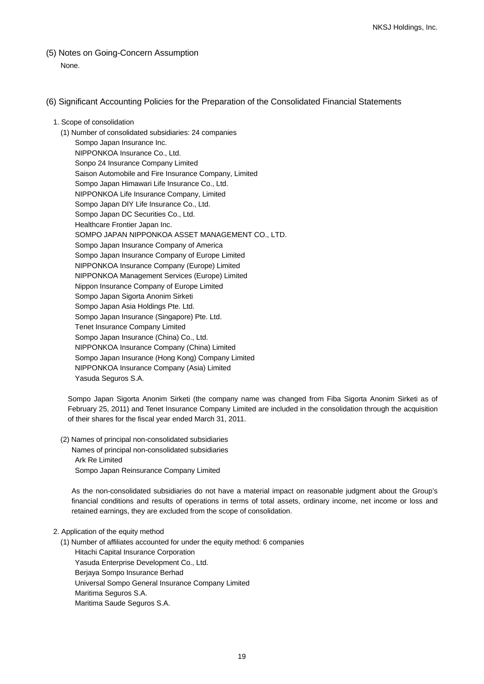(5) Notes on Going-Concern Assumption None.

## (6) Significant Accounting Policies for the Preparation of the Consolidated Financial Statements

#### 1. Scope of consolidation

(1) Number of consolidated subsidiaries: 24 companies Sompo Japan Insurance Inc. NIPPONKOA Insurance Co., Ltd. Sonpo 24 Insurance Company Limited Saison Automobile and Fire Insurance Company, Limited Sompo Japan Himawari Life Insurance Co., Ltd. NIPPONKOA Life Insurance Company, Limited Sompo Japan DIY Life Insurance Co., Ltd. Sompo Japan DC Securities Co., Ltd. Healthcare Frontier Japan Inc. SOMPO JAPAN NIPPONKOA ASSET MANAGEMENT CO., LTD. Sompo Japan Insurance Company of America Sompo Japan Insurance Company of Europe Limited NIPPONKOA Insurance Company (Europe) Limited NIPPONKOA Management Services (Europe) Limited Nippon Insurance Company of Europe Limited Sompo Japan Sigorta Anonim Sirketi Sompo Japan Asia Holdings Pte. Ltd. Sompo Japan Insurance (Singapore) Pte. Ltd. Tenet Insurance Company Limited Sompo Japan Insurance (China) Co., Ltd. NIPPONKOA Insurance Company (China) Limited Sompo Japan Insurance (Hong Kong) Company Limited NIPPONKOA Insurance Company (Asia) Limited Yasuda Seguros S.A.

Sompo Japan Sigorta Anonim Sirketi (the company name was changed from Fiba Sigorta Anonim Sirketi as of February 25, 2011) and Tenet Insurance Company Limited are included in the consolidation through the acquisition of their shares for the fiscal year ended March 31, 2011.

(2) Names of principal non-consolidated subsidiaries Names of principal non-consolidated subsidiaries Ark Re Limited Sompo Japan Reinsurance Company Limited

As the non-consolidated subsidiaries do not have a material impact on reasonable judgment about the Group's financial conditions and results of operations in terms of total assets, ordinary income, net income or loss and retained earnings, they are excluded from the scope of consolidation.

#### 2. Application of the equity method

(1) Number of affiliates accounted for under the equity method: 6 companies

Hitachi Capital Insurance Corporation Yasuda Enterprise Development Co., Ltd. Berjaya Sompo Insurance Berhad Universal Sompo General Insurance Company Limited Maritima Seguros S.A. Maritima Saude Seguros S.A.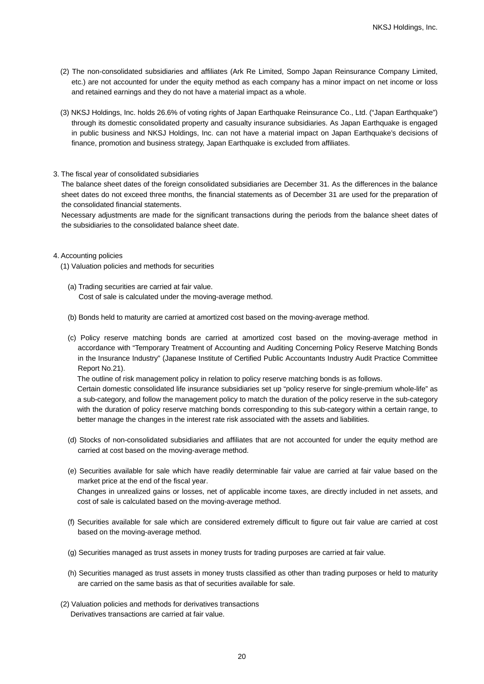- (2) The non-consolidated subsidiaries and affiliates (Ark Re Limited, Sompo Japan Reinsurance Company Limited, etc.) are not accounted for under the equity method as each company has a minor impact on net income or loss and retained earnings and they do not have a material impact as a whole.
- (3) NKSJ Holdings, Inc. holds 26.6% of voting rights of Japan Earthquake Reinsurance Co., Ltd. ("Japan Earthquake") through its domestic consolidated property and casualty insurance subsidiaries. As Japan Earthquake is engaged in public business and NKSJ Holdings, Inc. can not have a material impact on Japan Earthquake's decisions of finance, promotion and business strategy, Japan Earthquake is excluded from affiliates.
- 3. The fiscal year of consolidated subsidiaries

The balance sheet dates of the foreign consolidated subsidiaries are December 31. As the differences in the balance sheet dates do not exceed three months, the financial statements as of December 31 are used for the preparation of the consolidated financial statements.

Necessary adjustments are made for the significant transactions during the periods from the balance sheet dates of the subsidiaries to the consolidated balance sheet date.

#### 4. Accounting policies

- (1) Valuation policies and methods for securities
	- (a) Trading securities are carried at fair value. Cost of sale is calculated under the moving-average method.
	- (b) Bonds held to maturity are carried at amortized cost based on the moving-average method.
	- (c) Policy reserve matching bonds are carried at amortized cost based on the moving-average method in accordance with "Temporary Treatment of Accounting and Auditing Concerning Policy Reserve Matching Bonds in the Insurance Industry" (Japanese Institute of Certified Public Accountants Industry Audit Practice Committee Report No.21).

The outline of risk management policy in relation to policy reserve matching bonds is as follows.

Certain domestic consolidated life insurance subsidiaries set up "policy reserve for single-premium whole-life" as a sub-category, and follow the management policy to match the duration of the policy reserve in the sub-category with the duration of policy reserve matching bonds corresponding to this sub-category within a certain range, to better manage the changes in the interest rate risk associated with the assets and liabilities.

- (d) Stocks of non-consolidated subsidiaries and affiliates that are not accounted for under the equity method are carried at cost based on the moving-average method.
- (e) Securities available for sale which have readily determinable fair value are carried at fair value based on the market price at the end of the fiscal year. Changes in unrealized gains or losses, net of applicable income taxes, are directly included in net assets, and cost of sale is calculated based on the moving-average method.
- (f) Securities available for sale which are considered extremely difficult to figure out fair value are carried at cost based on the moving-average method.
- (g) Securities managed as trust assets in money trusts for trading purposes are carried at fair value.
- (h) Securities managed as trust assets in money trusts classified as other than trading purposes or held to maturity are carried on the same basis as that of securities available for sale.
- (2) Valuation policies and methods for derivatives transactions Derivatives transactions are carried at fair value.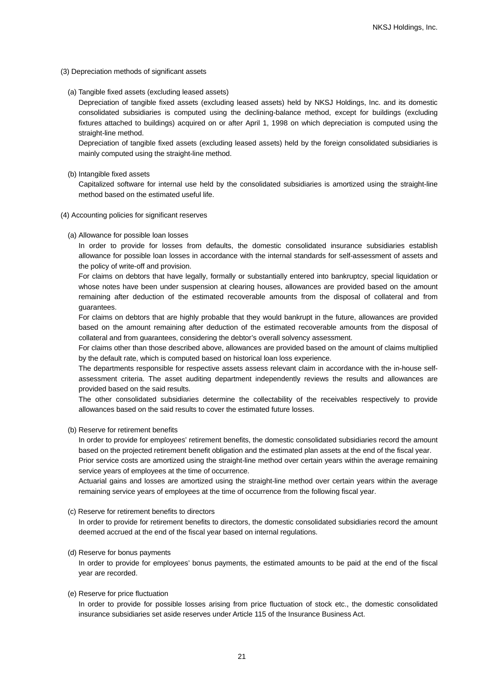- (3) Depreciation methods of significant assets
	- (a) Tangible fixed assets (excluding leased assets)

Depreciation of tangible fixed assets (excluding leased assets) held by NKSJ Holdings, Inc. and its domestic consolidated subsidiaries is computed using the declining-balance method, except for buildings (excluding fixtures attached to buildings) acquired on or after April 1, 1998 on which depreciation is computed using the straight-line method.

Depreciation of tangible fixed assets (excluding leased assets) held by the foreign consolidated subsidiaries is mainly computed using the straight-line method.

(b) Intangible fixed assets

Capitalized software for internal use held by the consolidated subsidiaries is amortized using the straight-line method based on the estimated useful life.

- (4) Accounting policies for significant reserves
	- (a) Allowance for possible loan losses

In order to provide for losses from defaults, the domestic consolidated insurance subsidiaries establish allowance for possible loan losses in accordance with the internal standards for self-assessment of assets and the policy of write-off and provision.

For claims on debtors that have legally, formally or substantially entered into bankruptcy, special liquidation or whose notes have been under suspension at clearing houses, allowances are provided based on the amount remaining after deduction of the estimated recoverable amounts from the disposal of collateral and from guarantees.

For claims on debtors that are highly probable that they would bankrupt in the future, allowances are provided based on the amount remaining after deduction of the estimated recoverable amounts from the disposal of collateral and from guarantees, considering the debtor's overall solvency assessment.

For claims other than those described above, allowances are provided based on the amount of claims multiplied by the default rate, which is computed based on historical loan loss experience.

The departments responsible for respective assets assess relevant claim in accordance with the in-house selfassessment criteria. The asset auditing department independently reviews the results and allowances are provided based on the said results.

The other consolidated subsidiaries determine the collectability of the receivables respectively to provide allowances based on the said results to cover the estimated future losses.

(b) Reserve for retirement benefits

In order to provide for employees' retirement benefits, the domestic consolidated subsidiaries record the amount based on the projected retirement benefit obligation and the estimated plan assets at the end of the fiscal year.

Prior service costs are amortized using the straight-line method over certain years within the average remaining service years of employees at the time of occurrence.

Actuarial gains and losses are amortized using the straight-line method over certain years within the average remaining service years of employees at the time of occurrence from the following fiscal year.

(c) Reserve for retirement benefits to directors

In order to provide for retirement benefits to directors, the domestic consolidated subsidiaries record the amount deemed accrued at the end of the fiscal year based on internal regulations.

#### (d) Reserve for bonus payments

In order to provide for employees' bonus payments, the estimated amounts to be paid at the end of the fiscal year are recorded.

#### (e) Reserve for price fluctuation

In order to provide for possible losses arising from price fluctuation of stock etc., the domestic consolidated insurance subsidiaries set aside reserves under Article 115 of the Insurance Business Act.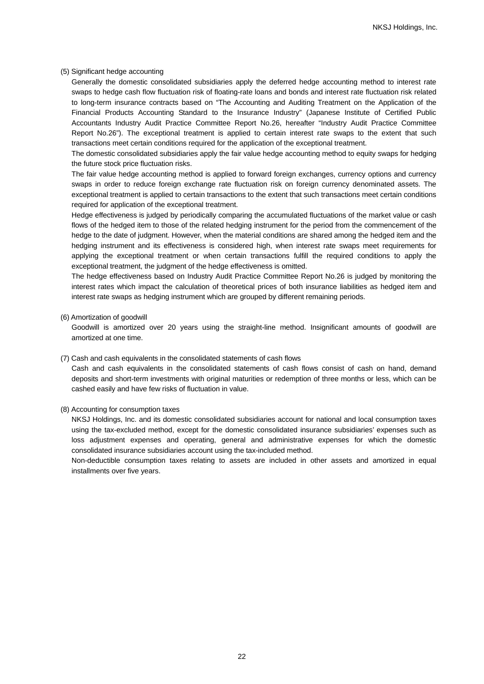#### (5) Significant hedge accounting

Generally the domestic consolidated subsidiaries apply the deferred hedge accounting method to interest rate swaps to hedge cash flow fluctuation risk of floating-rate loans and bonds and interest rate fluctuation risk related to long-term insurance contracts based on "The Accounting and Auditing Treatment on the Application of the Financial Products Accounting Standard to the Insurance Industry" (Japanese Institute of Certified Public Accountants Industry Audit Practice Committee Report No.26, hereafter "Industry Audit Practice Committee Report No.26"). The exceptional treatment is applied to certain interest rate swaps to the extent that such transactions meet certain conditions required for the application of the exceptional treatment.

The domestic consolidated subsidiaries apply the fair value hedge accounting method to equity swaps for hedging the future stock price fluctuation risks.

The fair value hedge accounting method is applied to forward foreign exchanges, currency options and currency swaps in order to reduce foreign exchange rate fluctuation risk on foreign currency denominated assets. The exceptional treatment is applied to certain transactions to the extent that such transactions meet certain conditions required for application of the exceptional treatment.

Hedge effectiveness is judged by periodically comparing the accumulated fluctuations of the market value or cash flows of the hedged item to those of the related hedging instrument for the period from the commencement of the hedge to the date of judgment. However, when the material conditions are shared among the hedged item and the hedging instrument and its effectiveness is considered high, when interest rate swaps meet requirements for applying the exceptional treatment or when certain transactions fulfill the required conditions to apply the exceptional treatment, the judgment of the hedge effectiveness is omitted.

The hedge effectiveness based on Industry Audit Practice Committee Report No.26 is judged by monitoring the interest rates which impact the calculation of theoretical prices of both insurance liabilities as hedged item and interest rate swaps as hedging instrument which are grouped by different remaining periods.

#### (6) Amortization of goodwill

Goodwill is amortized over 20 years using the straight-line method. Insignificant amounts of goodwill are amortized at one time.

#### (7) Cash and cash equivalents in the consolidated statements of cash flows

Cash and cash equivalents in the consolidated statements of cash flows consist of cash on hand, demand deposits and short-term investments with original maturities or redemption of three months or less, which can be cashed easily and have few risks of fluctuation in value.

#### (8) Accounting for consumption taxes

NKSJ Holdings, Inc. and its domestic consolidated subsidiaries account for national and local consumption taxes using the tax-excluded method, except for the domestic consolidated insurance subsidiaries' expenses such as loss adjustment expenses and operating, general and administrative expenses for which the domestic consolidated insurance subsidiaries account using the tax-included method.

Non-deductible consumption taxes relating to assets are included in other assets and amortized in equal installments over five years.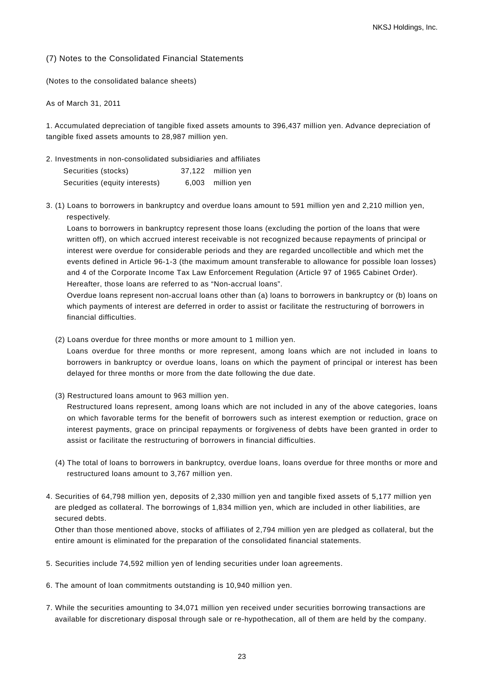#### (7) Notes to the Consolidated Financial Statements

(Notes to the consolidated balance sheets)

As of March 31, 2011

1. Accumulated depreciation of tangible fixed assets amounts to 396,437 million yen. Advance depreciation of tangible fixed assets amounts to 28,987 million yen.

2. Investments in non-consolidated subsidiaries and affiliates

| Securities (stocks)           | 37,122 million yen |
|-------------------------------|--------------------|
| Securities (equity interests) | 6,003 million yen  |

3. (1) Loans to borrowers in bankruptcy and overdue loans amount to 591 million yen and 2,210 million yen, respectively.

Loans to borrowers in bankruptcy represent those loans (excluding the portion of the loans that were written off), on which accrued interest receivable is not recognized because repayments of principal or interest were overdue for considerable periods and they are regarded uncollectible and which met the events defined in Article 96-1-3 (the maximum amount transferable to allowance for possible loan losses) and 4 of the Corporate Income Tax Law Enforcement Regulation (Article 97 of 1965 Cabinet Order). Hereafter, those loans are referred to as "Non-accrual loans".

Overdue loans represent non-accrual loans other than (a) loans to borrowers in bankruptcy or (b) loans on which payments of interest are deferred in order to assist or facilitate the restructuring of borrowers in financial difficulties.

(2) Loans overdue for three months or more amount to 1 million yen.

Loans overdue for three months or more represent, among loans which are not included in loans to borrowers in bankruptcy or overdue loans, loans on which the payment of principal or interest has been delayed for three months or more from the date following the due date.

(3) Restructured loans amount to 963 million yen.

Restructured loans represent, among loans which are not included in any of the above categories, loans on which favorable terms for the benefit of borrowers such as interest exemption or reduction, grace on interest payments, grace on principal repayments or forgiveness of debts have been granted in order to assist or facilitate the restructuring of borrowers in financial difficulties.

- (4) The total of loans to borrowers in bankruptcy, overdue loans, loans overdue for three months or more and restructured loans amount to 3,767 million yen.
- 4. Securities of 64,798 million yen, deposits of 2,330 million yen and tangible fixed assets of 5,177 million yen are pledged as collateral. The borrowings of 1,834 million yen, which are included in other liabilities, are secured debts.

Other than those mentioned above, stocks of affiliates of 2,794 million yen are pledged as collateral, but the entire amount is eliminated for the preparation of the consolidated financial statements.

- 5. Securities include 74,592 million yen of lending securities under loan agreements.
- 6. The amount of loan commitments outstanding is 10,940 million yen.
- 7. While the securities amounting to 34,071 million yen received under securities borrowing transactions are available for discretionary disposal through sale or re-hypothecation, all of them are held by the company.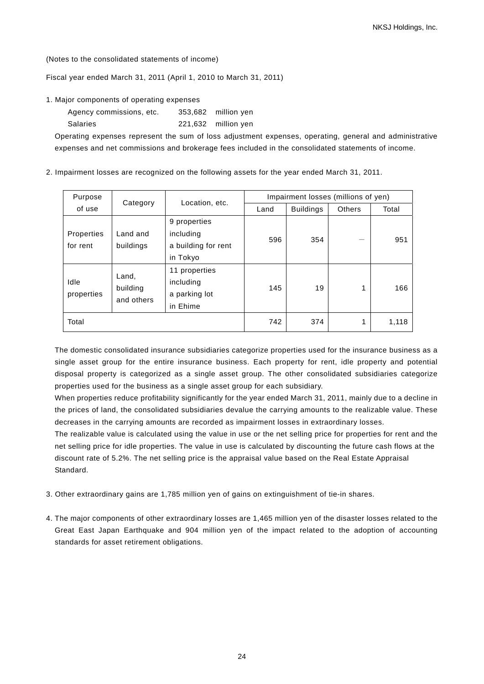(Notes to the consolidated statements of income)

Fiscal year ended March 31, 2011 (April 1, 2010 to March 31, 2011)

1. Major components of operating expenses

| Agency commissions, etc. | 353,682 million yen |
|--------------------------|---------------------|
| Salaries                 | 221,632 million yen |

Operating expenses represent the sum of loss adjustment expenses, operating, general and administrative expenses and net commissions and brokerage fees included in the consolidated statements of income.

2. Impairment losses are recognized on the following assets for the year ended March 31, 2011.

| Purpose                | Category                        | Location, etc.                                               |      | Impairment losses (millions of yen) |        |       |
|------------------------|---------------------------------|--------------------------------------------------------------|------|-------------------------------------|--------|-------|
| of use                 |                                 |                                                              | Land | <b>Buildings</b>                    | Others | Total |
| Properties<br>for rent | Land and<br>buildings           | 9 properties<br>including<br>a building for rent<br>in Tokyo | 596  | 354                                 |        | 951   |
| Idle<br>properties     | Land,<br>building<br>and others | 11 properties<br>including<br>a parking lot<br>in Ehime      | 145  | 19                                  | 1      | 166   |
| Total                  |                                 |                                                              | 742  | 374                                 | 1      | 1,118 |

The domestic consolidated insurance subsidiaries categorize properties used for the insurance business as a single asset group for the entire insurance business. Each property for rent, idle property and potential disposal property is categorized as a single asset group. The other consolidated subsidiaries categorize properties used for the business as a single asset group for each subsidiary.

When properties reduce [profitability](http://home.alc.co.jp/db/owa/bdicn_sch?w=profitability) significantly for the year ended March 31, 2011, mainly due to a decline in the prices of land, the consolidated subsidiaries devalue the carrying amounts to the realizable value. These decreases in the carrying amounts are recorded as impairment losses in extraordinary losses.

The realizable value is calculated using the value in use or the net selling price for properties for rent and the net selling price for idle properties. The value in use is calculated by discounting the future cash flows at the discount rate of 5.2%. The net selling price is the appraisal value based on the Real Estate Appraisal Standard.

- 3. Other extraordinary gains are 1,785 million yen of gains on extinguishment of tie-in shares.
- 4. The major components of other extraordinary losses are 1,465 million yen of the disaster losses related to the Great East Japan Earthquake and 904 million yen of the impact related to the adoption of accounting standards for asset retirement obligations.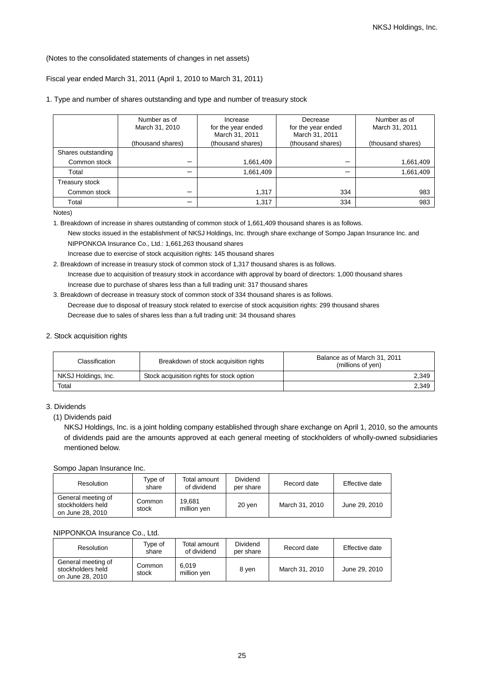#### (Notes to the consolidated statements of changes in net assets)

## Fiscal year ended March 31, 2011 (April 1, 2010 to March 31, 2011)

#### 1. Type and number of shares outstanding and type and number of treasury stock

|                    | Number as of<br>March 31, 2010 | Increase<br>for the year ended<br>March 31, 2011 | Decrease<br>for the year ended<br>March 31, 2011 | Number as of<br>March 31, 2011 |
|--------------------|--------------------------------|--------------------------------------------------|--------------------------------------------------|--------------------------------|
|                    | (thousand shares)              | (thousand shares)                                | (thousand shares)                                | (thousand shares)              |
| Shares outstanding |                                |                                                  |                                                  |                                |
| Common stock       |                                | 1,661,409                                        |                                                  | 1,661,409                      |
| Total              |                                | 1,661,409                                        |                                                  | 1,661,409                      |
| Treasury stock     |                                |                                                  |                                                  |                                |
| Common stock       | –                              | 1.317                                            | 334                                              | 983                            |
| Total              |                                | 1,317                                            | 334                                              | 983                            |

Notes)

1. Breakdown of increase in shares outstanding of common stock of 1,661,409 thousand shares is as follows.

New stocks issued in the establishment of NKSJ Holdings, Inc. through share exchange of Sompo Japan Insurance Inc. and NIPPONKOA Insurance Co., Ltd.: 1,661,263 thousand shares

Increase due to exercise of stock acquisition rights: 145 thousand shares

2. Breakdown of increase in treasury stock of common stock of 1,317 thousand shares is as follows. Increase due to acquisition of treasury stock in accordance with approval by board of directors: 1,000 thousand shares Increase due to purchase of shares less than a full trading unit: 317 thousand shares

## 3. Breakdown of decrease in treasury stock of common stock of 334 thousand shares is as follows. Decrease due to disposal of treasury stock related to exercise of stock acquisition rights: 299 thousand shares Decrease due to sales of shares less than a full trading unit: 34 thousand shares

#### 2. Stock acquisition rights

| Classification      | Breakdown of stock acquisition rights     | Balance as of March 31, 2011<br>(millions of yen) |
|---------------------|-------------------------------------------|---------------------------------------------------|
| NKSJ Holdings, Inc. | Stock acquisition rights for stock option | 2,349                                             |
| Total               |                                           | 2,349                                             |

## 3. Dividends

NKSJ Holdings, Inc. is a joint holding company established through share exchange on April 1, 2010, so the amounts of dividends paid are the amounts approved at each general meeting of stockholders of wholly-owned subsidiaries mentioned below.

Sompo Japan Insurance Inc.

| Resolution                                                  | Type of<br>share | Total amount<br>of dividend | Dividend<br>per share | Record date    | Effective date |
|-------------------------------------------------------------|------------------|-----------------------------|-----------------------|----------------|----------------|
| General meeting of<br>stockholders held<br>on June 28, 2010 | Common<br>stock  | 19.681<br>million ven       | 20 ven                | March 31, 2010 | June 29, 2010  |

## NIPPONKOA Insurance Co., Ltd.

| Resolution                                                  | Tvpe of<br>share | Total amount<br>of dividend | <b>Dividend</b><br>per share | Record date    | Effective date |
|-------------------------------------------------------------|------------------|-----------------------------|------------------------------|----------------|----------------|
| General meeting of<br>stockholders held<br>on June 28, 2010 | Common<br>stock  | 6.019<br>million ven        | 8 ven                        | March 31, 2010 | June 29, 2010  |

<sup>(1)</sup> Dividends paid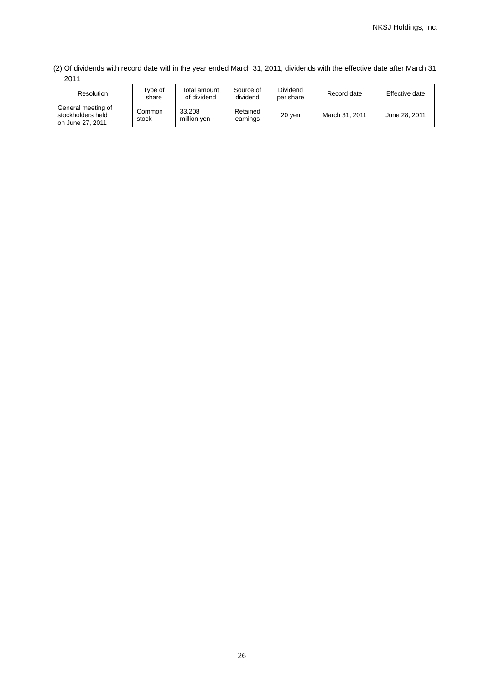(2) Of dividends with record date within the year ended March 31, 2011, dividends with the effective date after March 31, 2011

| <b>Resolution</b>                                           | Type of<br>share | Total amount<br>of dividend | Source of<br>dividend | <b>Dividend</b><br>per share | Record date    | Effective date |
|-------------------------------------------------------------|------------------|-----------------------------|-----------------------|------------------------------|----------------|----------------|
| General meeting of<br>stockholders held<br>on June 27, 2011 | Common<br>stock  | 33.208<br>million ven       | Retained<br>earnings  | 20 yen                       | March 31, 2011 | June 28, 2011  |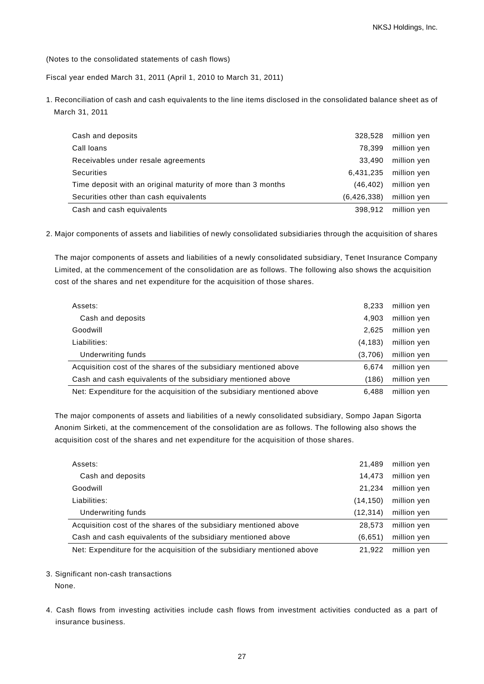(Notes to the consolidated statements of cash flows)

Fiscal year ended March 31, 2011 (April 1, 2010 to March 31, 2011)

1. Reconciliation of cash and cash equivalents to the line items disclosed in the consolidated balance sheet as of March 31, 2011

| Cash and deposits                                            | 328.528       | million yen |
|--------------------------------------------------------------|---------------|-------------|
| Call loans                                                   | 78.399        | million yen |
| Receivables under resale agreements                          | 33.490        | million yen |
| <b>Securities</b>                                            | 6.431.235     | million yen |
| Time deposit with an original maturity of more than 3 months | (46.402)      | million yen |
| Securities other than cash equivalents                       | (6, 426, 338) | million yen |
| Cash and cash equivalents                                    | 398.912       | million yen |

2. Major components of assets and liabilities of newly consolidated subsidiaries through the acquisition of shares

The major components of assets and liabilities of a newly consolidated subsidiary, Tenet Insurance Company Limited, at the commencement of the consolidation are as follows. The following also shows the acquisition cost of the shares and net expenditure for the acquisition of those shares.

| Assets:                                                                | 8.233   | million yen |  |
|------------------------------------------------------------------------|---------|-------------|--|
| Cash and deposits                                                      | 4.903   | million yen |  |
| Goodwill                                                               | 2,625   | million yen |  |
| Liabilities:                                                           | (4,183) | million yen |  |
| Underwriting funds                                                     | (3,706) | million yen |  |
| Acquisition cost of the shares of the subsidiary mentioned above       | 6.674   | million yen |  |
| Cash and cash equivalents of the subsidiary mentioned above            | (186)   | million yen |  |
| Net: Expenditure for the acquisition of the subsidiary mentioned above | 6.488   | million yen |  |

The major components of assets and liabilities of a newly consolidated subsidiary, Sompo Japan Sigorta Anonim Sirketi, at the commencement of the consolidation are as follows. The following also shows the acquisition cost of the shares and net expenditure for the acquisition of those shares.

| Assets:                                                                | 21.489    | million yen |
|------------------------------------------------------------------------|-----------|-------------|
| Cash and deposits                                                      | 14.473    | million yen |
| Goodwill                                                               | 21.234    | million yen |
| Liabilities:                                                           | (14, 150) | million yen |
| Underwriting funds                                                     | (12, 314) | million yen |
| Acquisition cost of the shares of the subsidiary mentioned above       | 28.573    | million yen |
| Cash and cash equivalents of the subsidiary mentioned above            | (6,651)   | million yen |
| Net: Expenditure for the acquisition of the subsidiary mentioned above | 21.922    | million yen |

3. Significant non-cash transactions

None.

4. Cash flows from investing activities include cash flows from investment activities conducted as a part of insurance business.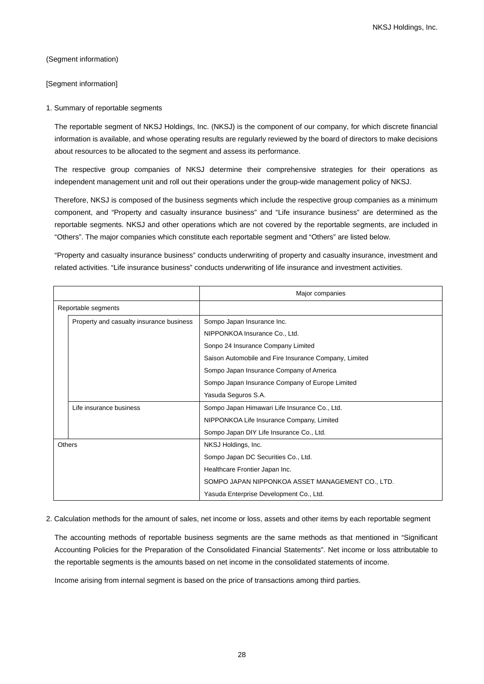(Segment information)

[Segment information]

#### 1. Summary of reportable segments

The reportable segment of NKSJ Holdings, Inc. (NKSJ) is the component of our company, for which discrete financial information is available, and whose operating results are regularly reviewed by the board of directors to make decisions about resources to be allocated to the segment and assess its performance.

The respective group companies of NKSJ determine their comprehensive strategies for their operations as independent management unit and roll out their operations under the group-wide management policy of NKSJ.

Therefore, NKSJ is composed of the business segments which include the respective group companies as a minimum component, and "Property and casualty insurance business" and "Life insurance business" are determined as the reportable segments. NKSJ and other operations which are not covered by the reportable segments, are included in "Others". The major companies which constitute each reportable segment and "Others" are listed below.

"Property and casualty insurance business" conducts underwriting of property and casualty insurance, investment and related activities. "Life insurance business" conducts underwriting of life insurance and investment activities.

|                                          |                         | Major companies                                       |
|------------------------------------------|-------------------------|-------------------------------------------------------|
|                                          | Reportable segments     |                                                       |
| Property and casualty insurance business |                         | Sompo Japan Insurance Inc.                            |
|                                          |                         | NIPPONKOA Insurance Co., Ltd.                         |
|                                          |                         | Sonpo 24 Insurance Company Limited                    |
|                                          |                         | Saison Automobile and Fire Insurance Company, Limited |
|                                          |                         | Sompo Japan Insurance Company of America              |
|                                          |                         | Sompo Japan Insurance Company of Europe Limited       |
|                                          |                         | Yasuda Seguros S.A.                                   |
|                                          | Life insurance business | Sompo Japan Himawari Life Insurance Co., Ltd.         |
|                                          |                         | NIPPONKOA Life Insurance Company, Limited             |
|                                          |                         | Sompo Japan DIY Life Insurance Co., Ltd.              |
|                                          | Others                  | NKSJ Holdings, Inc.                                   |
|                                          |                         | Sompo Japan DC Securities Co., Ltd.                   |
|                                          |                         | Healthcare Frontier Japan Inc.                        |
|                                          |                         | SOMPO JAPAN NIPPONKOA ASSET MANAGEMENT CO., LTD.      |
|                                          |                         | Yasuda Enterprise Development Co., Ltd.               |

2. Calculation methods for the amount of sales, net income or loss, assets and other items by each reportable segment

The accounting methods of reportable business segments are the same methods as that mentioned in "Significant Accounting Policies for the Preparation of the Consolidated Financial Statements". Net income or loss attributable to the reportable segments is the amounts based on net income in the consolidated statements of income.

Income arising from internal segment is based on the price of transactions among third parties.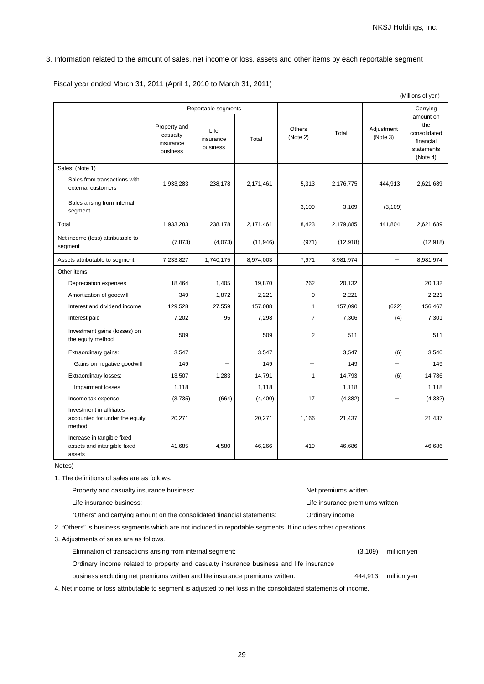## 3. Information related to the amount of sales, net income or loss, assets and other items by each reportable segment

Fiscal year ended March 31, 2011 (April 1, 2010 to March 31, 2011)

|                                                                      |                                                   |                                                      |           | (Millions of yen)         |           |                          |                                                                                     |
|----------------------------------------------------------------------|---------------------------------------------------|------------------------------------------------------|-----------|---------------------------|-----------|--------------------------|-------------------------------------------------------------------------------------|
|                                                                      | Property and<br>casualty<br>insurance<br>business | Reportable segments<br>Life<br>insurance<br>business | Total     | <b>Others</b><br>(Note 2) | Total     | Adjustment<br>(Note 3)   | Carrying<br>amount on<br>the<br>consolidated<br>financial<br>statements<br>(Note 4) |
| Sales: (Note 1)                                                      |                                                   |                                                      |           |                           |           |                          |                                                                                     |
| Sales from transactions with<br>external customers                   | 1,933,283                                         | 238,178                                              | 2,171,461 | 5,313                     | 2,176,775 | 444,913                  | 2,621,689                                                                           |
| Sales arising from internal<br>segment                               |                                                   |                                                      |           | 3,109                     | 3,109     | (3, 109)                 |                                                                                     |
| Total                                                                | 1,933,283                                         | 238,178                                              | 2,171,461 | 8,423                     | 2,179,885 | 441,804                  | 2,621,689                                                                           |
| Net income (loss) attributable to<br>segment                         | (7, 873)                                          | (4,073)                                              | (11, 946) | (971)                     | (12, 918) |                          | (12, 918)                                                                           |
| Assets attributable to segment                                       | 7,233,827                                         | 1,740,175                                            | 8,974,003 | 7,971                     | 8,981,974 |                          | 8,981,974                                                                           |
| Other items:                                                         |                                                   |                                                      |           |                           |           |                          |                                                                                     |
| Depreciation expenses                                                | 18,464                                            | 1,405                                                | 19,870    | 262                       | 20,132    |                          | 20,132                                                                              |
| Amortization of goodwill                                             | 349                                               | 1,872                                                | 2,221     | $\Omega$                  | 2,221     | $\overline{\phantom{0}}$ | 2,221                                                                               |
| Interest and dividend income                                         | 129,528                                           | 27,559                                               | 157,088   | 1                         | 157,090   | (622)                    | 156,467                                                                             |
| Interest paid                                                        | 7,202                                             | 95                                                   | 7,298     | $\overline{7}$            | 7,306     | (4)                      | 7,301                                                                               |
| Investment gains (losses) on<br>the equity method                    | 509                                               | $\overline{\phantom{0}}$                             | 509       | $\overline{2}$            | 511       |                          | 511                                                                                 |
| Extraordinary gains:                                                 | 3,547                                             | $\overline{\phantom{0}}$                             | 3,547     |                           | 3,547     | (6)                      | 3,540                                                                               |
| Gains on negative goodwill                                           | 149                                               |                                                      | 149       | $\equiv$                  | 149       |                          | 149                                                                                 |
| Extraordinary losses:                                                | 13,507                                            | 1,283                                                | 14,791    | 1                         | 14,793    | (6)                      | 14,786                                                                              |
| Impairment losses                                                    | 1,118                                             |                                                      | 1,118     |                           | 1,118     |                          | 1,118                                                                               |
| Income tax expense                                                   | (3,735)                                           | (664)                                                | (4,400)   | 17                        | (4, 382)  | $\overline{\phantom{0}}$ | (4, 382)                                                                            |
| Investment in affiliates<br>accounted for under the equity<br>method | 20,271                                            | $\overline{\phantom{0}}$                             | 20,271    | 1,166                     | 21,437    | $\overline{\phantom{0}}$ | 21,437                                                                              |
| Increase in tangible fixed<br>assets and intangible fixed<br>assets  | 41,685                                            | 4,580                                                | 46,266    | 419                       | 46,686    |                          | 46,686                                                                              |

Notes)

1. The definitions of sales are as follows.

| Property and casualty insurance business:                                                                     | Net premiums written            |          |             |  |  |
|---------------------------------------------------------------------------------------------------------------|---------------------------------|----------|-------------|--|--|
| Life insurance business:                                                                                      | Life insurance premiums written |          |             |  |  |
| "Others" and carrying amount on the consolidated financial statements:                                        | Ordinary income                 |          |             |  |  |
| 2. "Others" is business segments which are not included in reportable segments. It includes other operations. |                                 |          |             |  |  |
| 3. Adjustments of sales are as follows.                                                                       |                                 |          |             |  |  |
| Elimination of transactions arising from internal segment:                                                    |                                 | (3, 109) | million yen |  |  |
| Ordinary income related to property and casualty insurance business and life insurance                        |                                 |          |             |  |  |

business excluding net premiums written and life insurance premiums written: 444,913 million yen 4. Net income or loss attributable to segment is adjusted to net loss in the consolidated statements of income.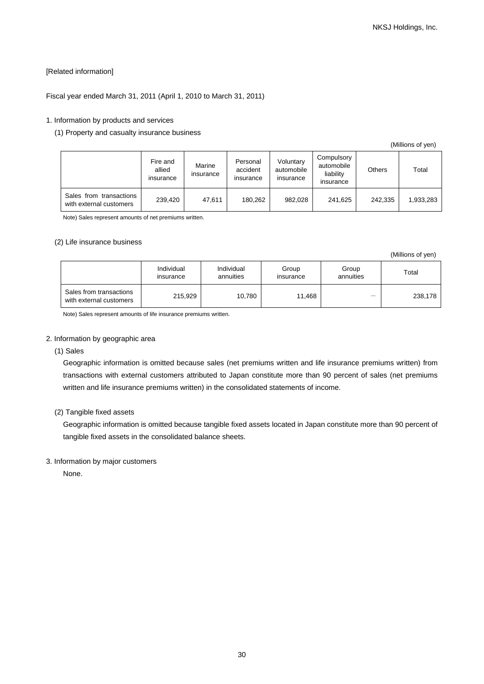## [Related information]

## Fiscal year ended March 31, 2011 (April 1, 2010 to March 31, 2011)

#### 1. Information by products and services

#### (1) Property and casualty insurance business

|                                                    |                                 |                     |                                   |                                      |                                                    |               | (Millions of yen) |
|----------------------------------------------------|---------------------------------|---------------------|-----------------------------------|--------------------------------------|----------------------------------------------------|---------------|-------------------|
|                                                    | Fire and<br>allied<br>insurance | Marine<br>insurance | Personal<br>accident<br>insurance | Voluntary<br>automobile<br>insurance | Compulsory<br>automobile<br>liability<br>insurance | <b>Others</b> | Total             |
| Sales from transactions<br>with external customers | 239,420                         | 47,611              | 180.262                           | 982.028                              | 241,625                                            | 242.335       | 1,933,283         |

Note) Sales represent amounts of net premiums written.

#### (2) Life insurance business

|                                                    |                         |                         |                    |                    | (Millions of yen) |
|----------------------------------------------------|-------------------------|-------------------------|--------------------|--------------------|-------------------|
|                                                    | Individual<br>insurance | Individual<br>annuities | Group<br>insurance | Group<br>annuities | Total             |
| Sales from transactions<br>with external customers | 215,929                 | 10.780                  | 11.468             | —                  | 238,178           |

Note) Sales represent amounts of life insurance premiums written.

## 2. Information by geographic area

(1) Sales

Geographic information is omitted because sales (net premiums written and life insurance premiums written) from transactions with external customers attributed to Japan constitute more than 90 percent of sales (net premiums written and life insurance premiums written) in the consolidated statements of income.

## (2) Tangible fixed assets

Geographic information is omitted because tangible fixed assets located in Japan constitute more than 90 percent of tangible fixed assets in the consolidated balance sheets.

#### 3. Information by major customers

None.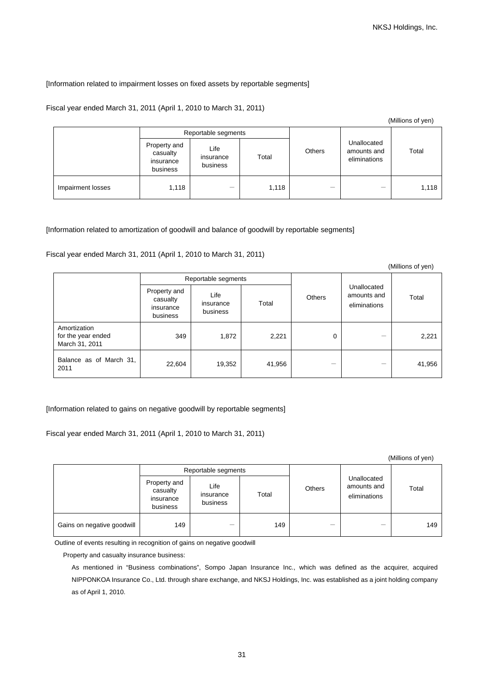## [Information related to impairment losses on fixed assets by reportable segments]

## Fiscal year ended March 31, 2011 (April 1, 2010 to March 31, 2011)

|                   |                                                   | Reportable segments           |       |               |                                            |       |
|-------------------|---------------------------------------------------|-------------------------------|-------|---------------|--------------------------------------------|-------|
|                   | Property and<br>casualty<br>insurance<br>business | Life<br>insurance<br>business | Total | <b>Others</b> | Unallocated<br>amounts and<br>eliminations | Total |
| Impairment losses | 1,118                                             | -                             | 1,118 |               | –                                          | 1,118 |

#### [Information related to amortization of goodwill and balance of goodwill by reportable segments]

Fiscal year ended March 31, 2011 (April 1, 2010 to March 31, 2011)

|                                                      |                                                   |                               |        |        |                                            | (Millions of yen) |
|------------------------------------------------------|---------------------------------------------------|-------------------------------|--------|--------|--------------------------------------------|-------------------|
|                                                      | Reportable segments                               |                               |        |        |                                            |                   |
|                                                      | Property and<br>casualty<br>insurance<br>business | Life<br>insurance<br>business | Total  | Others | Unallocated<br>amounts and<br>eliminations | Total             |
| Amortization<br>for the year ended<br>March 31, 2011 | 349                                               | 1,872                         | 2,221  | 0      |                                            | 2,221             |
| Balance as of March 31,<br>2011                      | 22,604                                            | 19,352                        | 41,956 |        |                                            | 41,956            |

[Information related to gains on negative goodwill by reportable segments]

Fiscal year ended March 31, 2011 (April 1, 2010 to March 31, 2011)

(Millions of yen)

|                            |                                                   | Reportable segments           |       |               |                                            |       |
|----------------------------|---------------------------------------------------|-------------------------------|-------|---------------|--------------------------------------------|-------|
|                            | Property and<br>casualty<br>insurance<br>business | Life<br>insurance<br>business | Total | <b>Others</b> | Unallocated<br>amounts and<br>eliminations | Total |
| Gains on negative goodwill | 149                                               | $\overline{\phantom{0}}$      | 149   |               |                                            | 149   |

Outline of events resulting in recognition of gains on negative goodwill

Property and casualty insurance business:

As mentioned in "Business combinations", Sompo Japan Insurance Inc., which was defined as the acquirer, acquired NIPPONKOA Insurance Co., Ltd. through share exchange, and NKSJ Holdings, Inc. was established as a joint holding company as of April 1, 2010.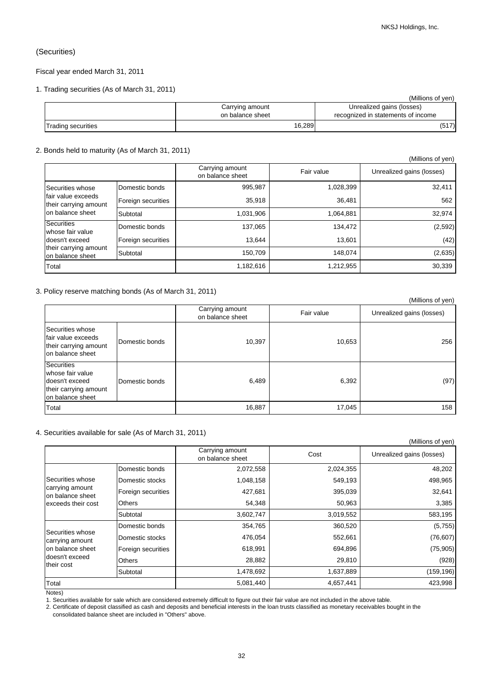## (Securities)

Fiscal year ended March 31, 2011

## 1. Trading securities (As of March 31, 2011)

|                           |                  | (Millions of ven)                  |
|---------------------------|------------------|------------------------------------|
|                           | Carrying amount  | Unrealized gains (losses)          |
|                           | on balance sheet | recognized in statements of income |
| <b>Trading securities</b> | 16,289           | (517)                              |

#### 2. Bonds held to maturity (As of March 31, 2011)

|                                                                                               |                    |                                     |            | (Millions of yen)         |
|-----------------------------------------------------------------------------------------------|--------------------|-------------------------------------|------------|---------------------------|
|                                                                                               |                    | Carrying amount<br>on balance sheet | Fair value | Unrealized gains (losses) |
| Securities whose                                                                              | Domestic bonds     | 995,987                             | 1,028,399  | 32,411                    |
| fair value exceeds<br>their carrying amount<br>on balance sheet                               | Foreign securities | 35,918                              | 36.481     | 562                       |
|                                                                                               | Subtotal           | 1,031,906                           | 1,064,881  | 32.974                    |
| Securities<br>whose fair value<br>doesn't exceed<br>their carrying amount<br>on balance sheet | Domestic bonds     | 137,065                             | 134.472    | (2, 592)                  |
|                                                                                               | Foreign securities | 13.644                              | 13,601     | (42)                      |
|                                                                                               | Subtotal           | 150.709                             | 148.074    | (2,635)                   |
| Total                                                                                         |                    | 1,182,616                           | 1,212,955  | 30,339                    |

## 3. Policy reserve matching bonds (As of March 31, 2011)

|                                                                                                      |                |                                     |            | (Millions of yen)         |
|------------------------------------------------------------------------------------------------------|----------------|-------------------------------------|------------|---------------------------|
|                                                                                                      |                | Carrying amount<br>on balance sheet | Fair value | Unrealized gains (losses) |
| Securities whose<br>fair value exceeds<br>their carrying amount<br>on balance sheet                  | Domestic bonds | 10,397                              | 10,653     | 256                       |
| <b>Securities</b><br>whose fair value<br>doesn't exceed<br>their carrying amount<br>on balance sheet | Domestic bonds | 6,489                               | 6,392      | (97)                      |
| Total                                                                                                |                | 16,887                              | 17,045     | 158                       |

#### 4. Securities available for sale (As of March 31, 2011)

|                                     |                    |                                     |           | (Millions of yen)         |
|-------------------------------------|--------------------|-------------------------------------|-----------|---------------------------|
|                                     |                    | Carrying amount<br>on balance sheet | Cost      | Unrealized gains (losses) |
|                                     | Domestic bonds     | 2,072,558                           | 2,024,355 | 48,202                    |
| Securities whose                    | Domestic stocks    | 1,048,158                           | 549,193   | 498,965                   |
| carrying amount<br>on balance sheet | Foreign securities | 427,681                             | 395,039   | 32,641                    |
| exceeds their cost                  | <b>Others</b>      | 54,348                              | 50,963    | 3,385                     |
|                                     | Subtotal           | 3,602,747                           | 3,019,552 | 583,195                   |
|                                     | Domestic bonds     | 354,765                             | 360,520   | (5,755)                   |
| Securities whose<br>carrying amount | Domestic stocks    | 476,054                             | 552,661   | (76, 607)                 |
| on balance sheet                    | Foreign securities | 618,991                             | 694,896   | (75,905)                  |
| doesn't exceed<br>their cost        | <b>Others</b>      | 28,882                              | 29,810    | (928)                     |
|                                     | Subtotal           | 1,478,692                           | 1,637,889 | (159, 196)                |
| Total                               |                    | 5,081,440                           | 4,657,441 | 423,998                   |

Notes)

1. Securities available for sale which are considered extremely difficult to figure out their fair value are not included in the above table.

2. Certificate of deposit classified as cash and deposits and beneficial interests in the loan trusts classified as monetary receivables bought in the consolidated balance sheet are included in "Others" above.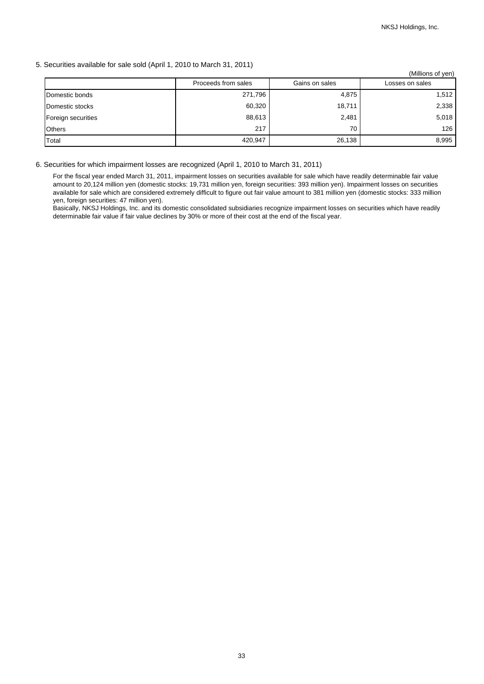## 5. Securities available for sale sold (April 1, 2010 to March 31, 2011)

|                    |                     |                | (Millions of yen) |
|--------------------|---------------------|----------------|-------------------|
|                    | Proceeds from sales | Gains on sales | Losses on sales   |
| Domestic bonds     | 271,796             | 4,875          | 1,512             |
| Domestic stocks    | 60,320              | 18,711         | 2,338             |
| Foreign securities | 88,613              | 2,481          | 5,018             |
| <b>Others</b>      | 217                 | 70             | 126               |
| Total              | 420,947             | 26,138         | 8,995             |

## 6. Securities for which impairment losses are recognized (April 1, 2010 to March 31, 2011)

For the fiscal year ended March 31, 2011, impairment losses on securities available for sale which have readily determinable fair value amount to 20,124 million yen (domestic stocks: 19,731 million yen, foreign securities: 393 million yen). Impairment losses on securities available for sale which are considered extremely difficult to figure out fair value amount to 381 million yen (domestic stocks: 333 million yen, foreign securities: 47 million yen).

Basically, NKSJ Holdings, Inc. and its domestic consolidated subsidiaries recognize impairment losses on securities which have readily determinable fair value if fair value declines by 30% or more of their cost at the end of the fiscal year.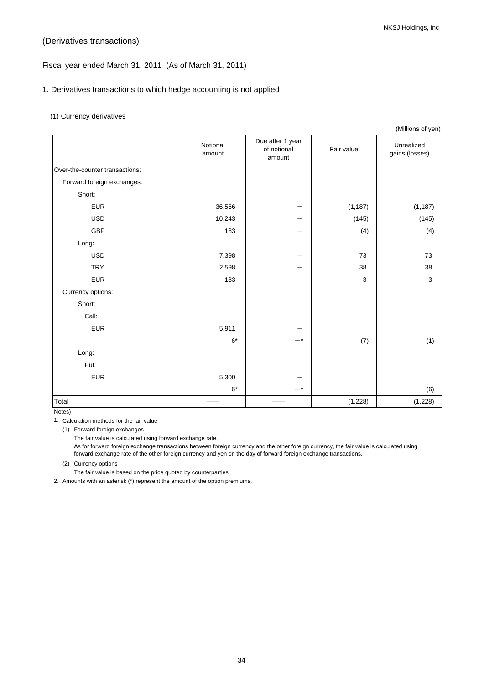## (Derivatives transactions)

## Fiscal year ended March 31, 2011 (As of March 31, 2011)

## 1. Derivatives transactions to which hedge accounting is not applied

## (1) Currency derivatives

|                                |                    |                                           |            | (Millions of yen)            |
|--------------------------------|--------------------|-------------------------------------------|------------|------------------------------|
|                                | Notional<br>amount | Due after 1 year<br>of notional<br>amount | Fair value | Unrealized<br>gains (losses) |
| Over-the-counter transactions: |                    |                                           |            |                              |
| Forward foreign exchanges:     |                    |                                           |            |                              |
| Short:                         |                    |                                           |            |                              |
| <b>EUR</b>                     | 36,566             |                                           | (1, 187)   | (1, 187)                     |
| <b>USD</b>                     | 10,243             |                                           | (145)      | (145)                        |
| <b>GBP</b>                     | 183                |                                           | (4)        | (4)                          |
| Long:                          |                    |                                           |            |                              |
| <b>USD</b>                     | 7,398              |                                           | 73         | 73                           |
| <b>TRY</b>                     | 2,598              |                                           | 38         | 38                           |
| <b>EUR</b>                     | 183                |                                           | 3          | 3                            |
| Currency options:              |                    |                                           |            |                              |
| Short:                         |                    |                                           |            |                              |
| Call:                          |                    |                                           |            |                              |
| <b>EUR</b>                     | 5,911              |                                           |            |                              |
|                                | $6*$               | $-*$                                      | (7)        | (1)                          |
| Long:                          |                    |                                           |            |                              |
| Put:                           |                    |                                           |            |                              |
| <b>EUR</b>                     | 5,300              |                                           |            |                              |
|                                | $6*$               | $-$ *                                     |            | (6)                          |
| Total                          |                    |                                           | (1,228)    | (1,228)                      |

Notes)

1. Calculation methods for the fair value

(1) Forward foreign exchanges

The fair value is calculated using forward exchange rate.

As for forward foreign exchange transactions between foreign currency and the other foreign currency, the fair value is calculated using forward exchange rate of the other foreign currency and yen on the day of forward foreign exchange transactions.

(2) Currency options

The fair value is based on the price quoted by counterparties.

2. Amounts with an asterisk (\*) represent the amount of the option premiums.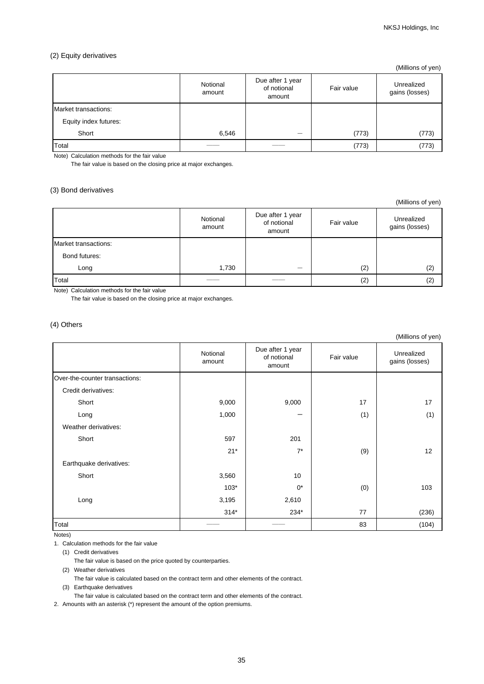## (2) Equity derivatives

|                       |                    |                                           |            | (Millions of yen)            |
|-----------------------|--------------------|-------------------------------------------|------------|------------------------------|
|                       | Notional<br>amount | Due after 1 year<br>of notional<br>amount | Fair value | Unrealized<br>gains (losses) |
| Market transactions:  |                    |                                           |            |                              |
| Equity index futures: |                    |                                           |            |                              |
| Short                 | 6,546              | _                                         | (773)      | (773)                        |
| Total                 |                    |                                           | (773)      | (773)                        |

Note) Calculation methods for the fair value

The fair value is based on the closing price at major exchanges.

## (3) Bond derivatives

(Millions of yen)

|                      | Notional<br>amount | Due after 1 year<br>of notional<br>amount | Fair value | Unrealized<br>gains (losses) |
|----------------------|--------------------|-------------------------------------------|------------|------------------------------|
| Market transactions: |                    |                                           |            |                              |
| Bond futures:        |                    |                                           |            |                              |
| Long                 | 1,730              | _                                         | (2)        | (2)                          |
| Total                |                    |                                           | (2)        | (2)                          |

Note) Calculation methods for the fair value

The fair value is based on the closing price at major exchanges.

## (4) Others

(Millions of yen)

|                                | Notional<br>amount | Due after 1 year<br>of notional<br>amount | Fair value | Unrealized<br>gains (losses) |
|--------------------------------|--------------------|-------------------------------------------|------------|------------------------------|
| Over-the-counter transactions: |                    |                                           |            |                              |
| Credit derivatives:            |                    |                                           |            |                              |
| Short                          | 9,000              | 9,000                                     | 17         | 17                           |
| Long                           | 1,000              | —                                         | (1)        | (1)                          |
| Weather derivatives:           |                    |                                           |            |                              |
| Short                          | 597                | 201                                       |            |                              |
|                                | $21*$              | $7^*$                                     | (9)        | 12                           |
| Earthquake derivatives:        |                    |                                           |            |                              |
| Short                          | 3,560              | 10                                        |            |                              |
|                                | $103*$             | $0^*$                                     | (0)        | 103                          |
| Long                           | 3,195              | 2,610                                     |            |                              |
|                                | $314*$             | 234*                                      | 77         | (236)                        |
| Total                          |                    |                                           | 83         | (104)                        |

Notes)

1. Calculation methods for the fair value

(1) Credit derivatives

The fair value is based on the price quoted by counterparties.

(2) Weather derivatives

The fair value is calculated based on the contract term and other elements of the contract.

(3) Earthquake derivatives

The fair value is calculated based on the contract term and other elements of the contract.

2. Amounts with an asterisk (\*) represent the amount of the option premiums.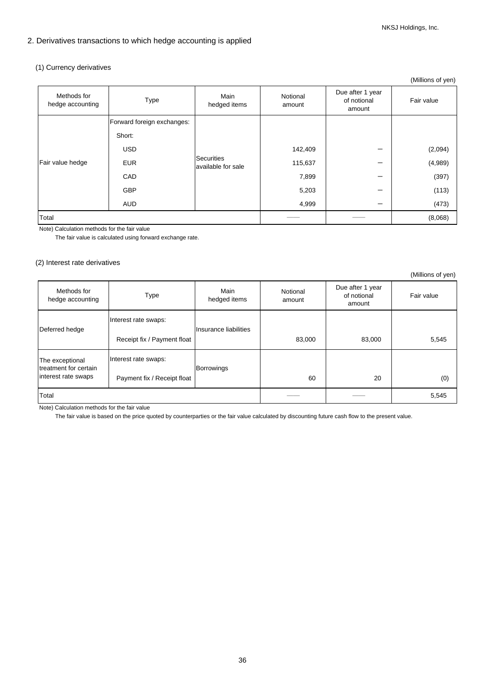## 2. Derivatives transactions to which hedge accounting is applied

## (1) Currency derivatives

|                                 |                            |                                  |                    |                                           | $\mu$      |
|---------------------------------|----------------------------|----------------------------------|--------------------|-------------------------------------------|------------|
| Methods for<br>hedge accounting | Type                       | Main<br>hedged items             | Notional<br>amount | Due after 1 year<br>of notional<br>amount | Fair value |
|                                 | Forward foreign exchanges: |                                  |                    |                                           |            |
| Fair value hedge                | Short:                     |                                  |                    |                                           |            |
|                                 | <b>USD</b>                 | Securities<br>available for sale | 142,409            |                                           | (2,094)    |
|                                 | <b>EUR</b>                 |                                  | 115,637            |                                           | (4,989)    |
|                                 | CAD                        |                                  | 7,899              |                                           | (397)      |
|                                 | <b>GBP</b>                 |                                  | 5,203              |                                           | (113)      |
|                                 | <b>AUD</b>                 |                                  | 4,999              |                                           | (473)      |
| Total                           |                            |                                  |                    |                                           | (8,068)    |

Note) Calculation methods for the fair value

The fair value is calculated using forward exchange rate.

## (2) Interest rate derivatives

|                                                                 |                                                     |                       |                    |                                           | (Millions of yen) |
|-----------------------------------------------------------------|-----------------------------------------------------|-----------------------|--------------------|-------------------------------------------|-------------------|
| Methods for<br>hedge accounting                                 | Type                                                | Main<br>hedged items  | Notional<br>amount | Due after 1 year<br>of notional<br>amount | Fair value        |
| Deferred hedge                                                  | Interest rate swaps:                                | Insurance liabilities |                    |                                           |                   |
|                                                                 | Receipt fix / Payment float                         |                       | 83,000             | 83,000                                    | 5,545             |
| The exceptional<br>treatment for certain<br>interest rate swaps | Interest rate swaps:<br>Payment fix / Receipt float | Borrowings            | 60                 | 20                                        | (0)               |
|                                                                 |                                                     |                       |                    |                                           |                   |
| Total                                                           |                                                     |                       |                    |                                           | 5,545             |

Note) Calculation methods for the fair value

The fair value is based on the price quoted by counterparties or the fair value calculated by discounting future cash flow to the present value.

(Millions of yen)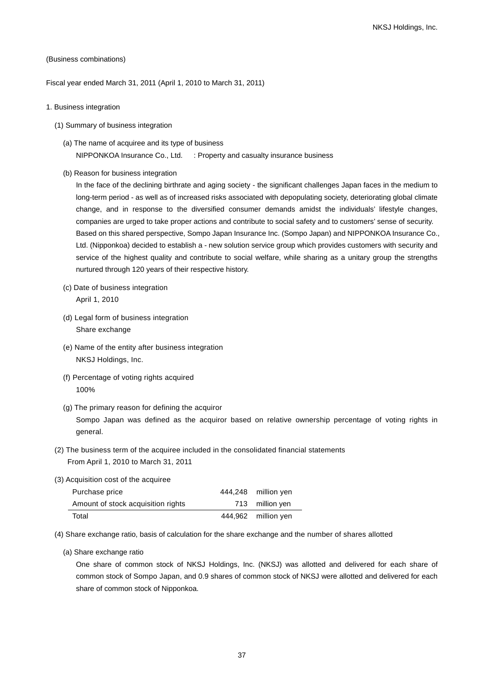#### (Business combinations)

Fiscal year ended March 31, 2011 (April 1, 2010 to March 31, 2011)

- 1. Business integration
	- (1) Summary of business integration
		- (a) The name of acquiree and its type of business NIPPONKOA Insurance Co., Ltd. : Property and casualty insurance business
		- (b) Reason for business integration

In the face of the declining birthrate and aging society - the significant challenges Japan faces in the medium to long-term period - as well as of increased risks associated with depopulating society, deteriorating global climate change, and in response to the diversified consumer demands amidst the individuals' lifestyle changes, companies are urged to take proper actions and contribute to social safety and to customers' sense of security. Based on this shared perspective, Sompo Japan Insurance Inc. (Sompo Japan) and NIPPONKOA Insurance Co., Ltd. (Nipponkoa) decided to establish a - new solution service group which provides customers with security and service of the highest quality and contribute to social welfare, while sharing as a unitary group the strengths nurtured through 120 years of their respective history.

- (c) Date of business integration April 1, 2010
- (d) Legal form of business integration Share exchange
- (e) Name of the entity after business integration NKSJ Holdings, Inc.
- (f) Percentage of voting rights acquired 100%
- (g) The primary reason for defining the acquiror Sompo Japan was defined as the acquiror based on relative ownership percentage of voting rights in general.
- (2) The business term of the acquiree included in the consolidated financial statements From April 1, 2010 to March 31, 2011
- (3) Acquisition cost of the acquiree

| Purchase price                     | 444,248 million yen |
|------------------------------------|---------------------|
| Amount of stock acquisition rights | 713 million yen     |
| Total                              | 444,962 million yen |

- (4) Share exchange ratio, basis of calculation for the share exchange and the number of shares allotted
	- (a) Share exchange ratio

One share of common stock of NKSJ Holdings, Inc. (NKSJ) was allotted and delivered for each share of common stock of Sompo Japan, and 0.9 shares of common stock of NKSJ were allotted and delivered for each share of common stock of Nipponkoa.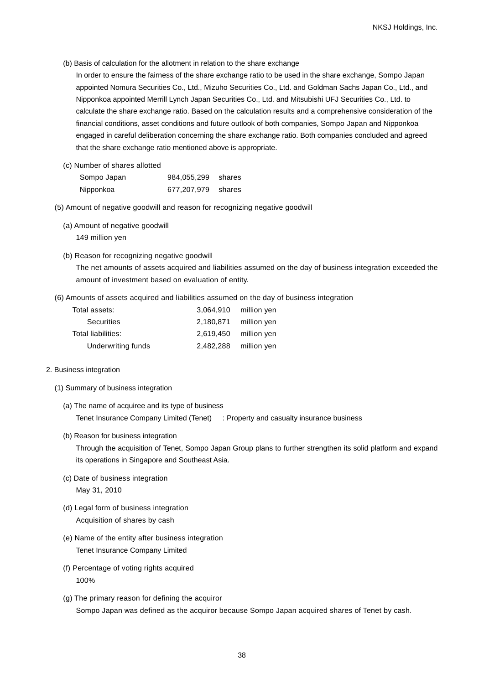(b) Basis of calculation for the allotment in relation to the share exchange

In order to ensure the fairness of the share exchange ratio to be used in the share exchange, Sompo Japan appointed Nomura Securities Co., Ltd., Mizuho Securities Co., Ltd. and Goldman Sachs Japan Co., Ltd., and Nipponkoa appointed Merrill Lynch Japan Securities Co., Ltd. and Mitsubishi UFJ Securities Co., Ltd. to calculate the share exchange ratio. Based on the calculation results and a comprehensive consideration of the financial conditions, asset conditions and future outlook of both companies, Sompo Japan and Nipponkoa engaged in careful deliberation concerning the share exchange ratio. Both companies concluded and agreed that the share exchange ratio mentioned above is appropriate.

(c) Number of shares allotted

| Sompo Japan | 984,055,299 shares |  |
|-------------|--------------------|--|
| Nipponkoa   | 677,207,979 shares |  |

- (5) Amount of negative goodwill and reason for recognizing negative goodwill
	- (a) Amount of negative goodwill 149 million yen
	- (b) Reason for recognizing negative goodwill

The net amounts of assets acquired and liabilities assumed on the day of business integration exceeded the amount of investment based on evaluation of entity.

(6) Amounts of assets acquired and liabilities assumed on the day of business integration

| Total assets:      | 3.064.910 | million yen |
|--------------------|-----------|-------------|
| <b>Securities</b>  | 2,180,871 | million yen |
| Total liabilities: | 2.619.450 | million yen |
| Underwriting funds | 2.482.288 | million yen |

#### 2. Business integration

- (1) Summary of business integration
	- (a) The name of acquiree and its type of business Tenet Insurance Company Limited (Tenet) : Property and casualty insurance business
	- (b) Reason for business integration

Through the acquisition of Tenet, Sompo Japan Group plans to further strengthen its solid platform and expand its operations in Singapore and Southeast Asia.

- (c) Date of business integration May 31, 2010
- (d) Legal form of business integration Acquisition of shares by cash
- (e) Name of the entity after business integration Tenet Insurance Company Limited
- (f) Percentage of voting rights acquired 100%
- (g) The primary reason for defining the acquiror Sompo Japan was defined as the acquiror because Sompo Japan acquired shares of Tenet by cash.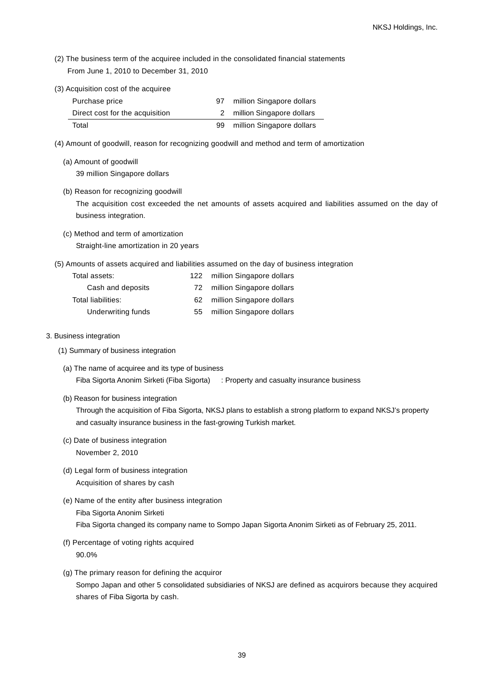- (2) The business term of the acquiree included in the consolidated financial statements From June 1, 2010 to December 31, 2010
- (3) Acquisition cost of the acquiree

| Purchase price                  |    | million Singapore dollars |
|---------------------------------|----|---------------------------|
| Direct cost for the acquisition |    | million Singapore dollars |
| Total                           | 99 | million Singapore dollars |

- (4) Amount of goodwill, reason for recognizing goodwill and method and term of amortization
	- (a) Amount of goodwill 39 million Singapore dollars
	- (b) Reason for recognizing goodwill

The acquisition cost exceeded the net amounts of assets acquired and liabilities assumed on the day of business integration.

(c) Method and term of amortization

Straight-line amortization in 20 years

(5) Amounts of assets acquired and liabilities assumed on the day of business integration

| Total assets:      | 122. | million Singapore dollars |
|--------------------|------|---------------------------|
| Cash and deposits  | 72   | million Singapore dollars |
| Total liabilities: | 62.  | million Singapore dollars |
| Underwriting funds | 55   | million Singapore dollars |

- 3. Business integration
	- (1) Summary of business integration
		- (a) The name of acquiree and its type of business Fiba Sigorta Anonim Sirketi (Fiba Sigorta) : Property and casualty insurance business
		- (b) Reason for business integration

Through the acquisition of Fiba Sigorta, NKSJ plans to establish a strong platform to expand NKSJ's property and casualty insurance business in the fast-growing Turkish market.

- (c) Date of business integration November 2, 2010
- (d) Legal form of business integration Acquisition of shares by cash
- (e) Name of the entity after business integration Fiba Sigorta Anonim Sirketi Fiba Sigorta changed its company name to Sompo Japan Sigorta Anonim Sirketi as of February 25, 2011.
- (f) Percentage of voting rights acquired 90.0%
- (g) The primary reason for defining the acquiror Sompo Japan and other 5 consolidated subsidiaries of NKSJ are defined as acquirors because they acquired shares of Fiba Sigorta by cash.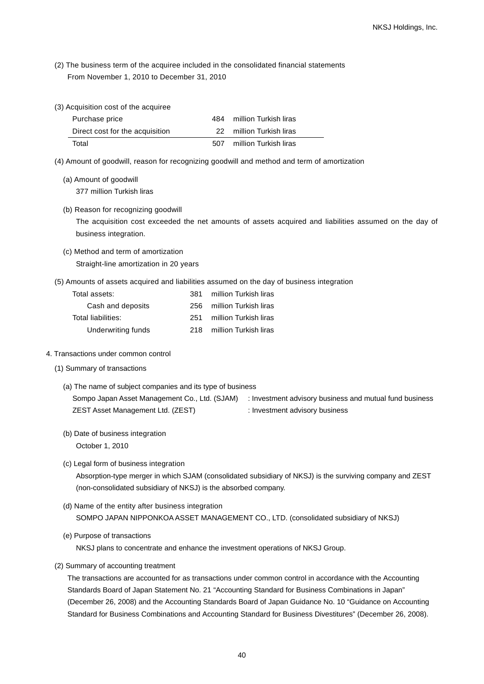- (2) The business term of the acquiree included in the consolidated financial statements From November 1, 2010 to December 31, 2010
- (3) Acquisition cost of the acquiree

| Purchase price                  | 484 | million Turkish liras |
|---------------------------------|-----|-----------------------|
| Direct cost for the acquisition | 22. | million Turkish liras |
| Total                           | 507 | million Turkish liras |

- (4) Amount of goodwill, reason for recognizing goodwill and method and term of amortization
	- (a) Amount of goodwill 377 million Turkish liras
	- (b) Reason for recognizing goodwill The acquisition cost exceeded the net amounts of assets acquired and liabilities assumed on the day of business integration.
	- (c) Method and term of amortization Straight-line amortization in 20 years
- (5) Amounts of assets acquired and liabilities assumed on the day of business integration

| Total assets:      | 381. | million Turkish liras |
|--------------------|------|-----------------------|
| Cash and deposits  | 256. | million Turkish liras |
| Total liabilities: | 251  | million Turkish liras |
| Underwriting funds | 218  | million Turkish liras |

- 4. Transactions under common control
	- (1) Summary of transactions
		- (a) The name of subject companies and its type of business Sompo Japan Asset Management Co., Ltd. (SJAM) : Investment advisory business and mutual fund business ZEST Asset Management Ltd. (ZEST) : Investment advisory business
		- (b) Date of business integration October 1, 2010
		- (c) Legal form of business integration

Absorption-type merger in which SJA[M \(consolidated subsidiary of NKSJ\) is the surviving company and](http://home.alc.co.jp/db/owa/bdicn_sch?w=surviving) ZEST (non-consolidated subsidiary of NKSJ) is the absorbed company.

- (d) Name of the entity after business integration SOMPO JAPAN NIPPONKOA ASSET MANAGEMENT CO., LTD. (consolidated subsidiary of NKSJ)
- (e) Purpose of transactions

NKSJ plans to concentrate and enhance the investment operations of NKSJ Group.

(2) Summary of accounting treatment

The transactions are accounted for as transactions under common control in accordance with the Accounting Standards Board of Japan Statement No. 21 "Accounting Standard for Business Combinations in Japan" (December 26, 2008) and the Accounting Standards Board of Japan Guidance No. 10 "Guidance on Accounting Standard for Business Combinations and Accounting Standard for Business Divestitures" (December 26, 2008).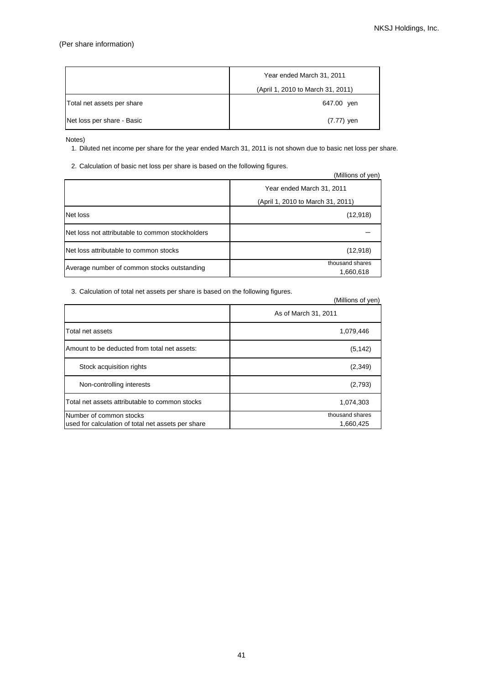## (Per share information)

|                            | Year ended March 31, 2011         |
|----------------------------|-----------------------------------|
|                            | (April 1, 2010 to March 31, 2011) |
| Total net assets per share | 647.00 yen                        |
| Net loss per share - Basic | (7.77) yen                        |

Notes)

1. Diluted net income per share for the year ended March 31, 2011 is not shown due to basic net loss per share.

2. Calculation of basic net loss per share is based on the following figures.

|                                                  | (Millions of yen)                 |
|--------------------------------------------------|-----------------------------------|
|                                                  | Year ended March 31, 2011         |
|                                                  | (April 1, 2010 to March 31, 2011) |
| Net loss                                         | (12, 918)                         |
| Net loss not attributable to common stockholders |                                   |
| Net loss attributable to common stocks           | (12, 918)                         |
| Average number of common stocks outstanding      | thousand shares<br>1,660,618      |

3. Calculation of total net assets per share is based on the following figures.

|                                                                               | (Millions of yen)            |
|-------------------------------------------------------------------------------|------------------------------|
|                                                                               | As of March 31, 2011         |
| Total net assets                                                              | 1,079,446                    |
| Amount to be deducted from total net assets:                                  | (5, 142)                     |
| Stock acquisition rights                                                      | (2,349)                      |
| Non-controlling interests                                                     | (2,793)                      |
| Total net assets attributable to common stocks                                | 1,074,303                    |
| Number of common stocks<br>used for calculation of total net assets per share | thousand shares<br>1,660,425 |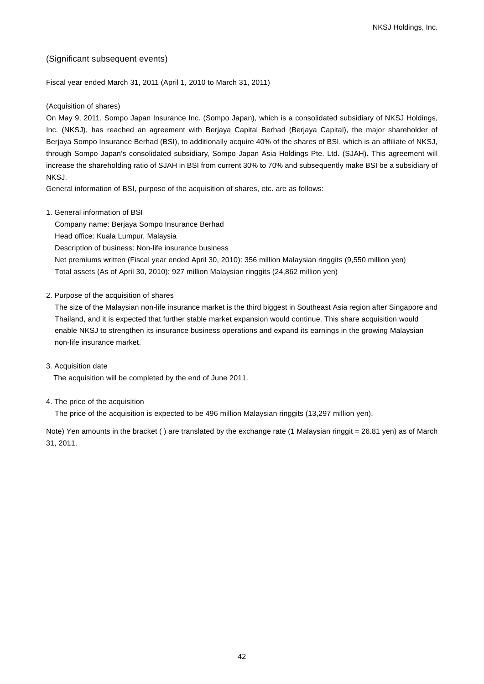## (Significant subsequent events)

Fiscal year ended March 31, 2011 (April 1, 2010 to March 31, 2011)

## (Acquisition of shares)

On May 9, 2011, Sompo Japan Insurance Inc. (Sompo Japan), which is a consolidated subsidiary of NKSJ Holdings, Inc. (NKSJ), has reached an agreement with Berjaya Capital Berhad (Berjaya Capital), the major shareholder of Berjaya Sompo Insurance Berhad (BSI), to additionally acquire 40% of the shares of BSI, which is an affiliate of NKSJ, through Sompo Japan's consolidated subsidiary, Sompo Japan Asia Holdings Pte. Ltd. (SJAH). This agreement will increase the shareholding ratio of SJAH in BSI from current 30% to 70% and subsequently make BSI be a subsidiary of NKSJ.

General information of BSI, purpose of the acquisition of shares, etc. are as follows:

1. General information of BSI

Company name: Berjaya Sompo Insurance Berhad Head office: Kuala Lumpur, Malaysia Description of business: Non-life insurance business Net premiums written (Fiscal year ended April 30, 2010): 356 million Malaysian ringgits (9,550 million yen) Total assets (As of April 30, 2010): 927 million Malaysian ringgits (24,862 million yen)

2. Purpose of the acquisition of shares

The size of the Malaysian non-life insurance market is the third biggest in Southeast Asia region after Singapore and Thailand, and it is expected that further stable market expansion would continue. This share acquisition would enable NKSJ to strengthen its insurance business operations and expand its earnings in the growing Malaysian non-life insurance market.

3. Acquisition date

The acquisition will be completed by the end of June 2011.

4. The price of the acquisition

The price of the acquisition is expected to be 496 million Malaysian ringgits (13,297 million yen).

Note) Yen amounts in the bracket () are translated by the exchange rate (1 Malaysian ringgit = 26.81 yen) as of March 31, 2011.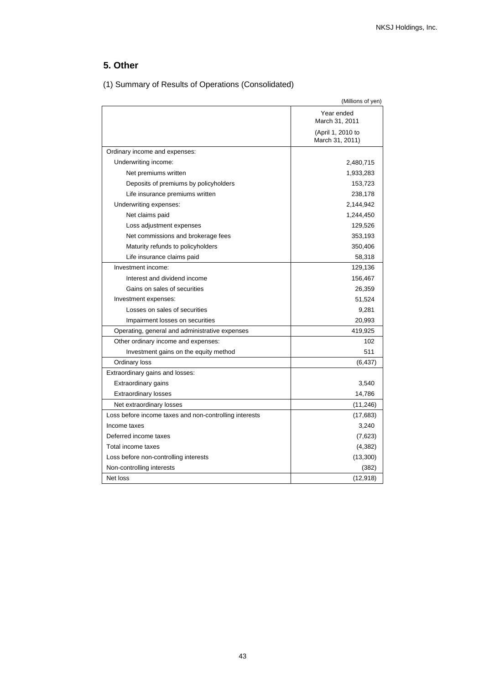# **5. Other**

|                                                        | (Millions of yen)                    |
|--------------------------------------------------------|--------------------------------------|
|                                                        | Year ended<br>March 31, 2011         |
|                                                        | (April 1, 2010 to<br>March 31, 2011) |
| Ordinary income and expenses:                          |                                      |
| Underwriting income:                                   | 2,480,715                            |
| Net premiums written                                   | 1,933,283                            |
| Deposits of premiums by policyholders                  | 153,723                              |
| Life insurance premiums written                        | 238,178                              |
| Underwriting expenses:                                 | 2,144,942                            |
| Net claims paid                                        | 1,244,450                            |
| Loss adjustment expenses                               | 129,526                              |
| Net commissions and brokerage fees                     | 353,193                              |
| Maturity refunds to policyholders                      | 350,406                              |
| Life insurance claims paid                             | 58,318                               |
| Investment income:                                     | 129,136                              |
| Interest and dividend income                           | 156,467                              |
| Gains on sales of securities                           | 26,359                               |
| Investment expenses:                                   | 51,524                               |
| Losses on sales of securities                          | 9,281                                |
| Impairment losses on securities                        | 20,993                               |
| Operating, general and administrative expenses         | 419,925                              |
| Other ordinary income and expenses:                    | 102                                  |
| Investment gains on the equity method                  | 511                                  |
| Ordinary loss                                          | (6, 437)                             |
| Extraordinary gains and losses:                        |                                      |
| Extraordinary gains                                    | 3,540                                |
| <b>Extraordinary losses</b>                            | 14,786                               |
| Net extraordinary losses                               | (11, 246)                            |
| Loss before income taxes and non-controlling interests | (17, 683)                            |
| Income taxes                                           | 3,240                                |
| Deferred income taxes                                  | (7,623)                              |
| Total income taxes                                     | (4, 382)                             |
| Loss before non-controlling interests                  | (13,300)                             |
| Non-controlling interests                              | (382)                                |
| Net loss                                               | (12, 918)                            |

(1) Summary of Results of Operations (Consolidated)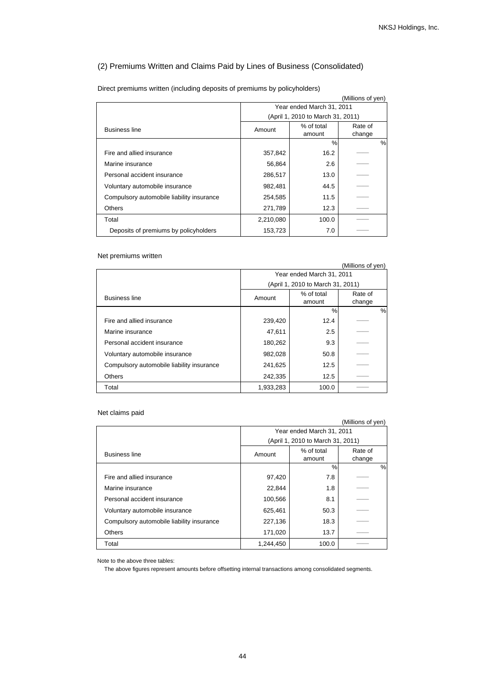## (2) Premiums Written and Claims Paid by Lines of Business (Consolidated)

|                                           |                           |                                   | (Millions of yen) |   |
|-------------------------------------------|---------------------------|-----------------------------------|-------------------|---|
|                                           | Year ended March 31, 2011 |                                   |                   |   |
|                                           |                           | (April 1, 2010 to March 31, 2011) |                   |   |
| <b>Business line</b>                      | Amount                    | % of total                        | Rate of           |   |
|                                           |                           | amount                            | change            |   |
|                                           |                           | %                                 |                   | % |
| Fire and allied insurance                 | 357,842                   | 16.2                              |                   |   |
| Marine insurance                          | 56,864                    | 2.6                               |                   |   |
| Personal accident insurance               | 286,517                   | 13.0                              |                   |   |
| Voluntary automobile insurance            | 982,481                   | 44.5                              |                   |   |
| Compulsory automobile liability insurance | 254,585                   | 11.5                              |                   |   |
| <b>Others</b>                             | 271,789                   | 12.3                              |                   |   |
| Total                                     | 2,210,080                 | 100.0                             |                   |   |
| Deposits of premiums by policyholders     | 153,723                   | 7.0                               |                   |   |

Direct premiums written (including deposits of premiums by policyholders)

## Net premiums written

|                                           |                           |                                   | (Millions of yen) |   |
|-------------------------------------------|---------------------------|-----------------------------------|-------------------|---|
|                                           | Year ended March 31, 2011 |                                   |                   |   |
|                                           |                           | (April 1, 2010 to March 31, 2011) |                   |   |
| <b>Business line</b>                      | Amount                    | % of total<br>amount              | Rate of<br>change |   |
|                                           |                           | %                                 |                   | % |
| Fire and allied insurance                 | 239,420                   | 12.4                              |                   |   |
| Marine insurance                          | 47,611                    | 2.5                               |                   |   |
| Personal accident insurance               | 180,262                   | 9.3                               |                   |   |
| Voluntary automobile insurance            | 982,028                   | 50.8                              |                   |   |
| Compulsory automobile liability insurance | 241,625                   | 12.5                              |                   |   |
| <b>Others</b>                             | 242,335                   | 12.5                              |                   |   |
| Total                                     | 1,933,283                 | 100.0                             |                   |   |

## Net claims paid

|                                           |                                   |                      | (Millions of yen) |
|-------------------------------------------|-----------------------------------|----------------------|-------------------|
|                                           | Year ended March 31, 2011         |                      |                   |
|                                           | (April 1, 2010 to March 31, 2011) |                      |                   |
| <b>Business line</b>                      | Amount                            | % of total<br>amount | Rate of<br>change |
|                                           |                                   | $\%$                 | %                 |
| Fire and allied insurance                 | 97,420                            | 7.8                  |                   |
| Marine insurance                          | 22,844                            | 1.8                  |                   |
| Personal accident insurance               | 100,566                           | 8.1                  |                   |
| Voluntary automobile insurance            | 625,461                           | 50.3                 |                   |
| Compulsory automobile liability insurance | 227,136                           | 18.3                 |                   |
| <b>Others</b>                             | 171,020                           | 13.7                 |                   |
| Total                                     | 1,244,450                         | 100.0                |                   |

Note to the above three tables:

The above figures represent amounts before offsetting internal transactions among consolidated segments.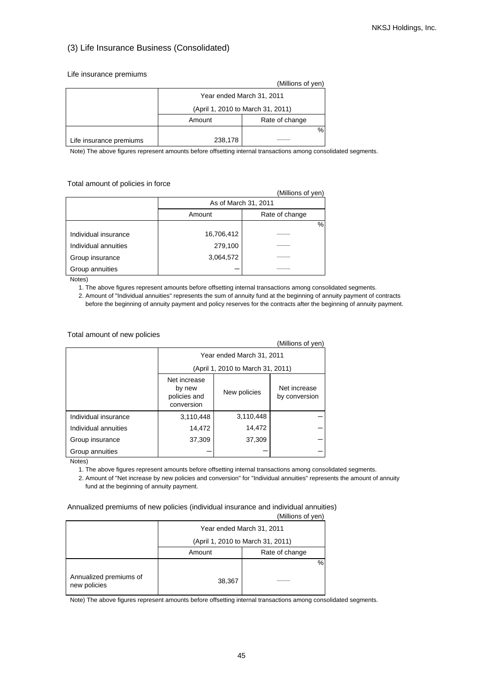## (3) Life Insurance Business (Consolidated)

#### Life insurance premiums

|                         |                                   | (Millions of yen) |  |
|-------------------------|-----------------------------------|-------------------|--|
|                         | Year ended March 31, 2011         |                   |  |
|                         | (April 1, 2010 to March 31, 2011) |                   |  |
|                         | Amount                            | Rate of change    |  |
|                         |                                   | %                 |  |
| Life insurance premiums | 238,178                           |                   |  |

Note) The above figures represent amounts before offsetting internal transactions among consolidated segments.

Total amount of policies in force

|                      |                          | (Millions of yen) |  |
|----------------------|--------------------------|-------------------|--|
|                      | As of March 31, 2011     |                   |  |
|                      | Rate of change<br>Amount |                   |  |
|                      |                          | %                 |  |
| Individual insurance | 16,706,412               |                   |  |
| Individual annuities | 279,100                  |                   |  |
| Group insurance      | 3,064,572                |                   |  |
| Group annuities      |                          |                   |  |

Notes)

1. The above figures represent amounts before offsetting internal transactions among consolidated segments.

 2. Amount of "Individual annuities" represents the sum of annuity fund at the beginning of annuity payment of contracts before the beginning of annuity payment and policy reserves for the contracts after the beginning of annuity payment.

## Total amount of new policies

|                      |                                                                                                       |                                   | (Millions of yen) |  |
|----------------------|-------------------------------------------------------------------------------------------------------|-----------------------------------|-------------------|--|
|                      | Year ended March 31, 2011                                                                             |                                   |                   |  |
|                      |                                                                                                       | (April 1, 2010 to March 31, 2011) |                   |  |
|                      | Net increase<br>Net increase<br>by new<br>New policies<br>policies and<br>by conversion<br>conversion |                                   |                   |  |
| Individual insurance | 3,110,448                                                                                             | 3,110,448                         |                   |  |
| Individual annuities | 14,472                                                                                                | 14,472                            |                   |  |
| Group insurance      | 37,309                                                                                                | 37,309                            |                   |  |
| Group annuities      |                                                                                                       |                                   |                   |  |

Notes)

1. The above figures represent amounts before offsetting internal transactions among consolidated segments.

 2. Amount of "Net increase by new policies and conversion" for "Individual annuities" represents the amount of annuity fund at the beginning of annuity payment.

Annualized premiums of new policies (individual insurance and individual annuities)

|                                        |        | (Millions of yen)                 |
|----------------------------------------|--------|-----------------------------------|
|                                        |        | Year ended March 31, 2011         |
|                                        |        | (April 1, 2010 to March 31, 2011) |
|                                        | Amount | Rate of change                    |
| Annualized premiums of<br>new policies | 38,367 | %                                 |

Note) The above figures represent amounts before offsetting internal transactions among consolidated segments.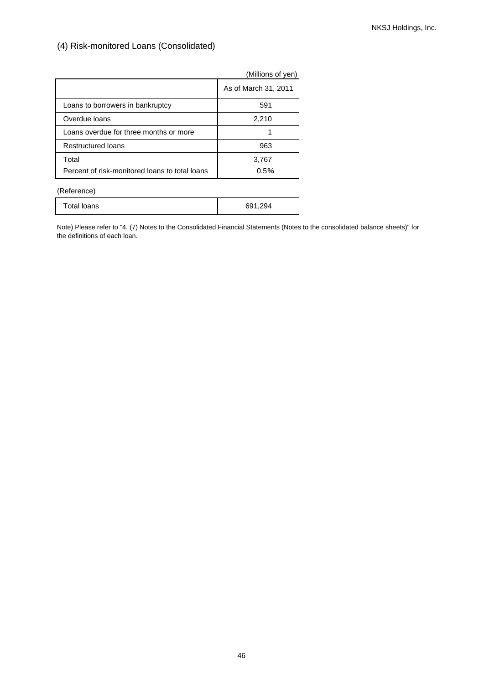(4) Risk-monitored Loans (Consolidated)

|                                                | (Millions of yen)    |
|------------------------------------------------|----------------------|
|                                                | As of March 31, 2011 |
| Loans to borrowers in bankruptcy               | 591                  |
| Overdue loans                                  | 2,210                |
| Loans overdue for three months or more         |                      |
| Restructured loans                             | 963                  |
| Total                                          | 3,767                |
| Percent of risk-monitored loans to total loans | 0.5%                 |

(Reference)

| Total loans | 691,294 |
|-------------|---------|
|-------------|---------|

Note) Please refer to "4. (7) Notes to the Consolidated Financial Statements (Notes to the consolidated balance sheets)" for the definitions of each loan.